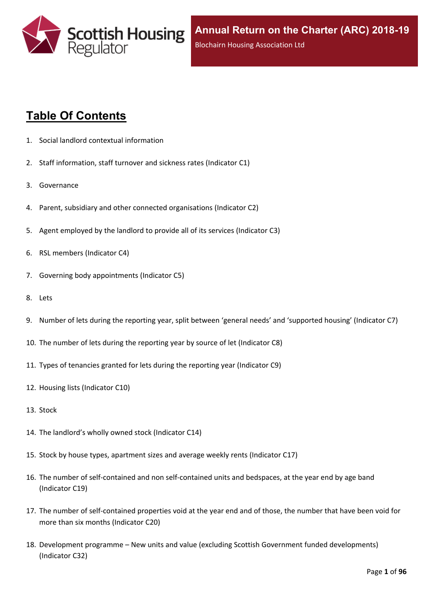

# **Table Of Contents**

- 1. Social landlord contextual [information](#page-5-0)
- 2. Staff [information,](#page-6-0) staff turnover and sickness rates (Indicator C1)
- 3. [Governance](#page-8-0)
- 4. Parent, subsidiary and other connected [organisations](#page-9-0) (Indicator C2)
- 5. Agent [employed](#page-10-0) by the landlord to provide all of its services (Indicator C3)
- 6. RSL members [\(Indicator](#page-11-0) C4)
- 7. Governing body [appointments](#page-12-0) (Indicator C5)
- 8. [Lets](#page-13-0)
- 9. Number of lets during the reporting year, split between 'general needs' and ['supported](#page-14-0) housing' (Indicator C7)
- 10. The number of lets during the reporting year by source of let [\(Indicator](#page-15-0) C8)
- 11. Types of tenancies granted for lets during the reporting year [\(Indicator](#page-16-0) C9)
- 12. Housing lists [\(Indicator](#page-17-0) C10)
- 13. [Stock](#page-18-0)
- 14. The [landlord's](#page-19-0) wholly owned stock (Indicator C14)
- 15. Stock by house types, [apartment](#page-20-0) sizes and average weekly rents (Indicator C17)
- 16. The number of self-contained and non [self-contained](#page-21-0) units and bedspaces, at the year end by age band [\(Indicator](#page-21-0) C19)
- 17. The number of [self-contained](#page-22-0) properties void at the year end and of those, the number that have been void for more than six months [\(Indicator](#page-22-0) C20)
- 18. [Development](#page-23-0) programme [–](#page-23-0) New units and value (excluding Scottish Government funded [developments\)](#page-23-0) [\(Indicator](#page-23-0) C32)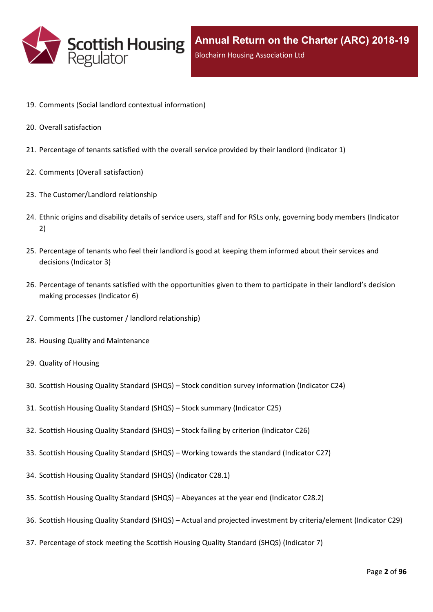

- 19. Comments (Social landlord contextual [information\)](#page-25-0)
- 20. Overall [satisfaction](#page-26-0)
- 21. [Percentage](#page-27-0) of tenants satisfied with the overall service provided by their landlord (Indicator 1)
- 22. Comments (Overall [satisfaction\)](#page-29-0)
- 23. The [Customer/Landlord](#page-30-0) relationship
- 24. Ethnic origins and disability details of service users, staff and for RSLs only, [governing](#page-31-0) body members (Indicator [2\)](#page-31-0)
- 25. [Percentage](#page-33-0) of tenants who feel their landlord is good at keeping them informed about their services and [decisions](#page-33-0) [\(Indicator](#page-33-0) 3)
- 26. Percentage of tenants satisfied with the [opportunities](#page-34-0) given to them to participate in their landlord's decision making [processes](#page-34-0) (Indicator 6)
- 27. Comments (The customer / landlord [relationship\)](#page-35-0)
- 28. Housing Quality and [Maintenance](#page-36-0)
- 29. Quality of [Housing](#page-37-0)
- 30. Scottish Housing Quality [Standard](#page-38-0) (SHQS) [–](#page-38-0) Stock condition survey [information](#page-38-0) (Indicator C24)
- 31. Scottish Housing Quality [Standard](#page-39-0) (SHQS) [–](#page-39-0) Stock summary [\(Indicator](#page-39-0) C25)
- 32. Scottish Housing Quality [Standard](#page-41-0) (SHQS) [–](#page-41-0) Stock failing by criterion [\(Indicator](#page-41-0) C26)
- 33. Scottish Housing Quality [Standard](#page-42-0) (SHQS) [–](#page-42-0) Working towards the standard [\(Indicator](#page-42-0) C27)
- 34. Scottish Housing Quality Standard (SHQS) [\(Indicator](#page-43-0) C28.1)
- 35. Scottish Housing Quality [Standard](#page-44-0) (SHQS) [–](#page-44-0) [Abeyances](#page-44-0) at the year end (Indicator C28.2)
- 36. Scottish Housing Quality [Standard](#page-45-0) (SHQS) [–](#page-45-0) Actual and projected investment by [criteria/element](#page-45-0) (Indicator C29)
- 37. [Percentage](#page-46-0) of stock meeting the Scottish Housing Quality Standard (SHQS) (Indicator 7)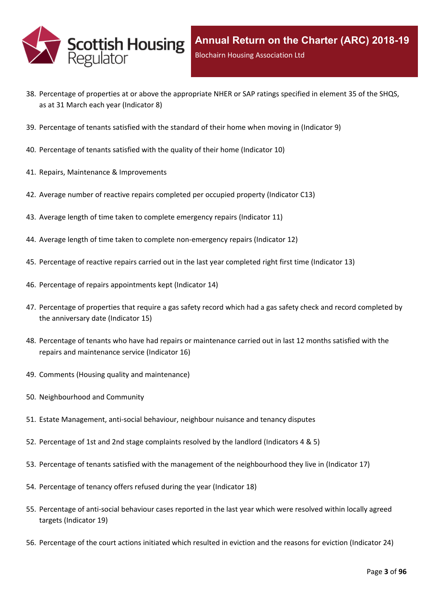

- 38. Percentage of properties at or above the [appropriate](#page-47-0) NHER or SAP ratings specified in element 35 of the SHQS, as at 31 March each year [\(Indicator](#page-47-0) 8)
- 39. [Percentage](#page-48-0) of tenants satisfied with the standard of their home when moving in (Indicator 9)
- 40. [Percentage](#page-49-0) of tenants satisfied with the quality of their home (Indicator 10)
- 41. Repairs, Maintenance & [Improvements](#page-50-0)
- 42. Average number of reactive repairs [completed](#page-51-0) per occupied property (Indicator C13)
- 43. Average length of time taken to complete [emergency](#page-52-0) repairs (Indicator 11)
- 44. Average length of time taken to complete [non-emergency](#page-53-0) repairs (Indicator 12)
- 45. [Percentage](#page-54-0) of reactive repairs carried out in the last year completed right first time (Indicator 13)
- 46. Percentage of repairs [appointments](#page-55-0) kept (Indicator 14)
- 47. [Percentage](#page-56-0) of properties that require a gas safety record which had a gas safety check and record completed by the [anniversary](#page-56-0) date (Indicator 15)
- 48. Percentage of tenants who have had repairs or [maintenance](#page-57-0) carried out in last 12 months satisfied with the repairs and [maintenance](#page-57-0) service (Indicator 16)
- 49. Comments (Housing quality and [maintenance\)](#page-58-0)
- 50. [Neighbourhood](#page-59-0) and Community
- 51. Estate [Management,](#page-60-0) anti-social behaviour, neighbour nuisance and tenancy disputes
- 52. [Percentage](#page-61-0) of 1st and 2nd stage complaints resolved by the landlord (Indicators 4 & 5)
- 53. Percentage of tenants satisfied with the management of the [neighbourhood](#page-64-0) they live in (Indicator 17)
- 54. [Percentage](#page-65-0) of tenancy offers refused during the year (Indicator 18)
- 55. [Percentage](#page-66-0) of anti-social behaviour cases reported in the last year which were resolved within locally agreed targets [\(Indicator](#page-66-0) 19)
- 56. [Percentage](#page-67-0) of the court actions initiated which resulted in eviction and the reasons for eviction (Indicator 24)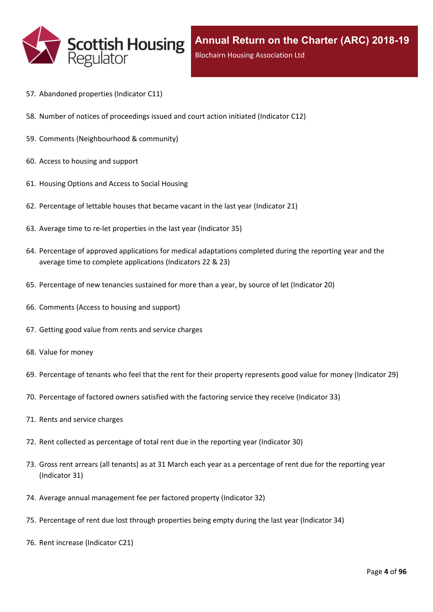

- 57. [Abandoned](#page-68-0) properties (Indicator C11)
- 58. Number of notices of [proceedings](#page-69-0) issued and court action initiated (Indicator C12)
- 59. Comments [\(Neighbourhood](#page-70-0) & community)
- 60. Access to [housing](#page-71-0) and support
- 61. [Housing](#page-72-0) Options and Access to Social Housing
- 62. [Percentage](#page-73-0) of lettable houses that became vacant in the last year (Indicator 21)
- 63. Average time to re-let [properties](#page-74-0) in the last year (Indicator 35)
- 64. Percentage of approved [applications](#page-75-0) for medical adaptations completed during the reporting year and the average time to complete [applications](#page-75-0) (Indicators 22 & 23)
- 65. [Percentage](#page-76-0) of new tenancies sustained for more than a year, by source of let (Indicator 20)
- 66. [Comments](#page-78-0) (Access to housing and support)
- 67. Getting good value from rents and service [charges](#page-79-0)
- 68. Value for [money](#page-80-0)
- 69. [Percentage](#page-81-0) of tenants who feel that the rent for their property represents good value for money (Indicator 29)
- 70. [Percentage](#page-82-0) of factored owners satisfied with the factoring service they receive (Indicator 33)
- 71. Rents and service [charges](#page-83-0)
- 72. Rent collected as [percentage](#page-84-0) of total rent due in the reporting year (Indicator 30)
- 73. Gross rent arrears (all tenants) as at 31 March each year as a [percentage](#page-85-0) of rent due for the reporting year [\(Indicator](#page-85-0) 31)
- 74. Average annual [management](#page-86-0) fee per factored property (Indicator 32)
- 75. [Percentage](#page-87-0) of rent due lost through properties being empty during the last year (Indicator 34)
- 76. Rent increase [\(Indicator](#page-88-0) C21)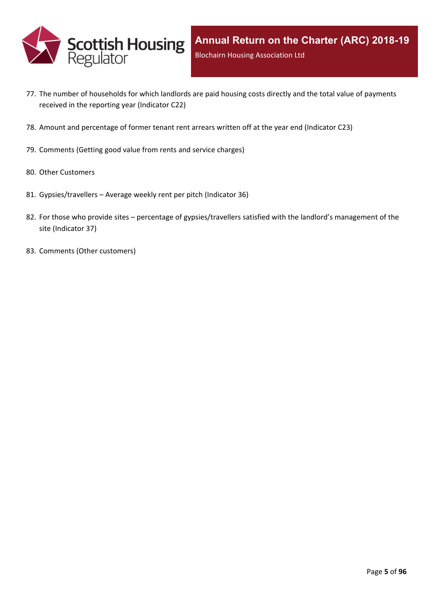

- 77. The number of [households](#page-89-0) for which landlords are paid housing costs directly and the total value of payments received in the reporting year [\(Indicator](#page-89-0) C22)
- 78. Amount and [percentage](#page-90-0) of former tenant rent arrears written off at the year end (Indicator C23)
- 79. [Comments](#page-91-0) (Getting good value from rents and service charges)
- 80. Other [Customers](#page-92-0)
- 81. [Gypsies/travellers](#page-93-0) [–](#page-93-0) Average weekly rent per pitch [\(Indicator](#page-93-0) 36)
- 82. For those who [provide](#page-94-0) sites [–](#page-94-0) percentage of [gypsies/travellers](#page-94-0) satisfied with the landlord's management of the site [\(Indicator](#page-94-0) 37)
- 83. Comments (Other [customers\)](#page-95-0)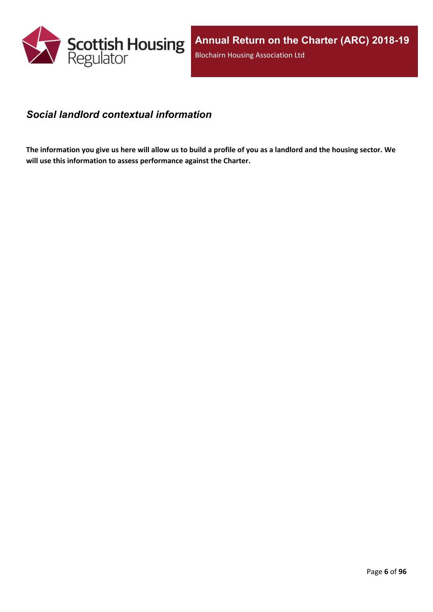

#### <span id="page-5-0"></span>*Social landlord contextual information*

The information you give us here will allow us to build a profile of you as a landlord and the housing sector. We **will use this information to assess performance against the Charter.**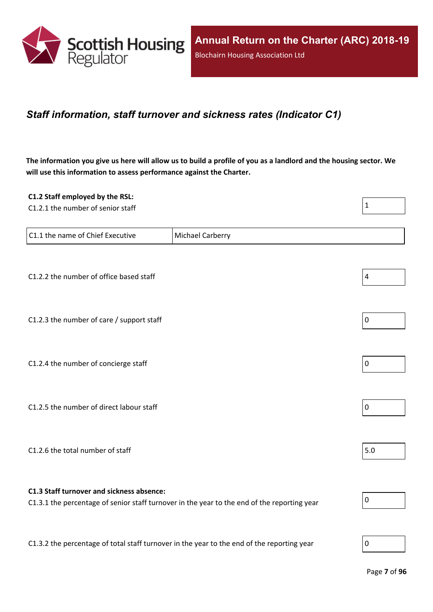

#### <span id="page-6-0"></span>*Staff information, staff turnover and sickness rates (Indicator C1)*

The information you give us here will allow us to build a profile of you as a landlord and the housing sector. We **will use this information to assess performance against the Charter.**

| C1.2 Staff employed by the RSL:                                                            |                                                                                             |                  |
|--------------------------------------------------------------------------------------------|---------------------------------------------------------------------------------------------|------------------|
| C1.2.1 the number of senior staff                                                          |                                                                                             | $\mathbf{1}$     |
|                                                                                            |                                                                                             |                  |
| C1.1 the name of Chief Executive                                                           | Michael Carberry                                                                            |                  |
|                                                                                            |                                                                                             |                  |
| C1.2.2 the number of office based staff                                                    |                                                                                             | $\overline{4}$   |
|                                                                                            |                                                                                             |                  |
| C1.2.3 the number of care / support staff                                                  |                                                                                             | $\pmb{0}$        |
|                                                                                            |                                                                                             |                  |
| C1.2.4 the number of concierge staff                                                       |                                                                                             | $\mathbf 0$      |
|                                                                                            |                                                                                             |                  |
| C1.2.5 the number of direct labour staff                                                   |                                                                                             | $\pmb{0}$        |
|                                                                                            |                                                                                             |                  |
|                                                                                            |                                                                                             |                  |
| C1.2.6 the total number of staff                                                           |                                                                                             | 5.0              |
|                                                                                            |                                                                                             |                  |
| C1.3 Staff turnover and sickness absence:                                                  | C1.3.1 the percentage of senior staff turnover in the year to the end of the reporting year | $\pmb{0}$        |
|                                                                                            |                                                                                             |                  |
| C1.3.2 the percentage of total staff turnover in the year to the end of the reporting year |                                                                                             | $\boldsymbol{0}$ |
|                                                                                            |                                                                                             |                  |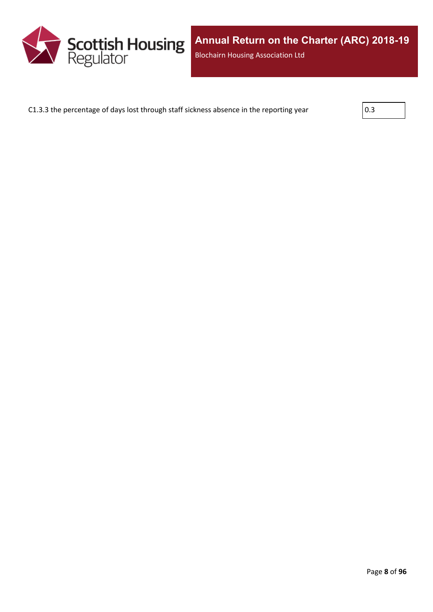

C1.3.3 the percentage of days lost through staff sickness absence in the reporting year  $\vert$  0.3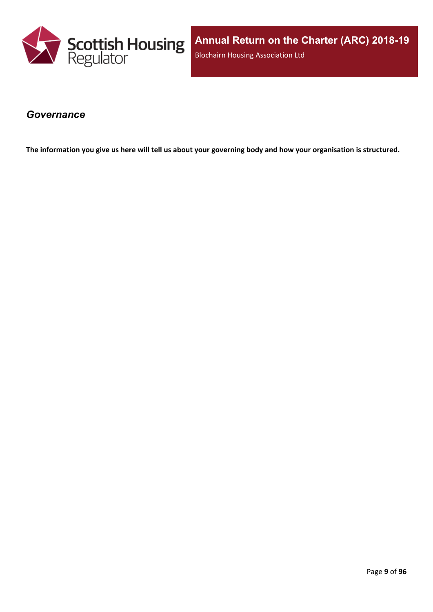

**Annual Return on the Charter (ARC) 2018-19** Blochairn Housing Association Ltd

#### <span id="page-8-0"></span>*Governance*

The information you give us here will tell us about your governing body and how your organisation is structured.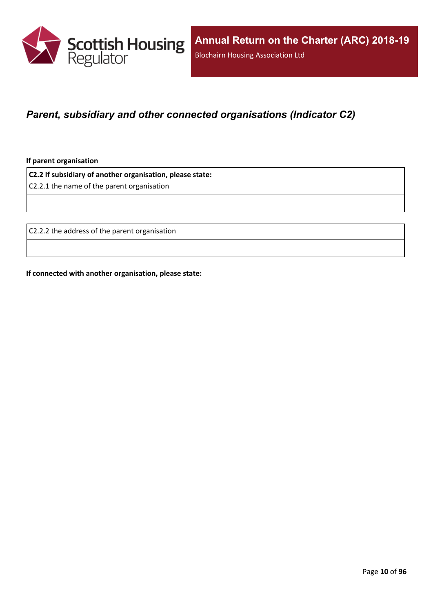

### <span id="page-9-0"></span>*Parent, subsidiary and other connected organisations (Indicator C2)*

**If parent organisation**

**C2.2 If subsidiary of another organisation, please state:**

C2.2.1 the name of the parent organisation

C2.2.2 the address of the parent organisation

**If connected with another organisation, please state:**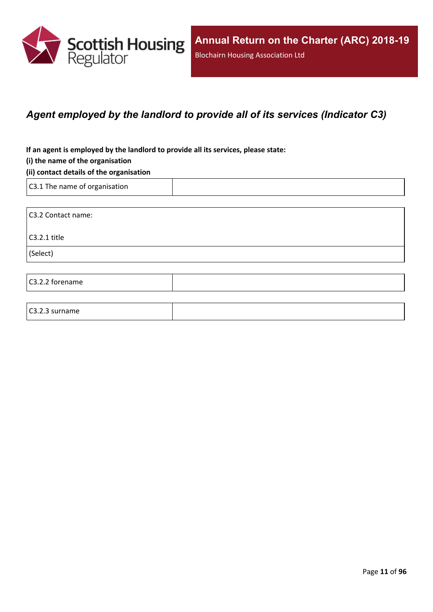

### <span id="page-10-0"></span>*Agent employed by the landlord to provide all of its services (Indicator C3)*

**If an agent is employed by the landlord to provide all its services, please state:**

#### **(i) the name of the organisation**

#### **(ii) contact details of the organisation**

C3.1 The name of organisation

C3.2.3 surname

C3.2 Contact name: C3.2.1 title (Select) C3.2.2 forename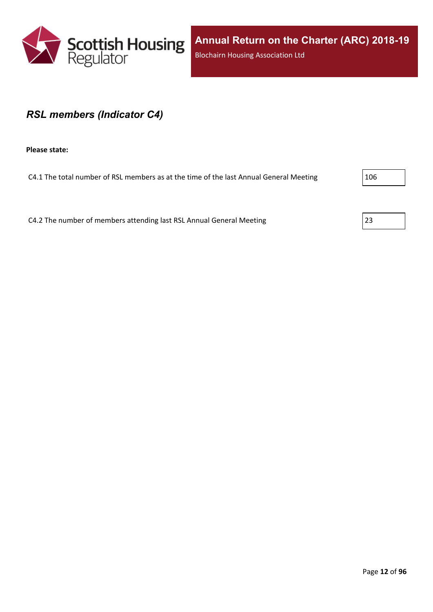

#### <span id="page-11-0"></span>*RSL members (Indicator C4)*

**Please state:**

C4.1 The total number of RSL members as at the time of the last Annual General Meeting 206

C4.2 The number of members attending last RSL Annual General Meeting 23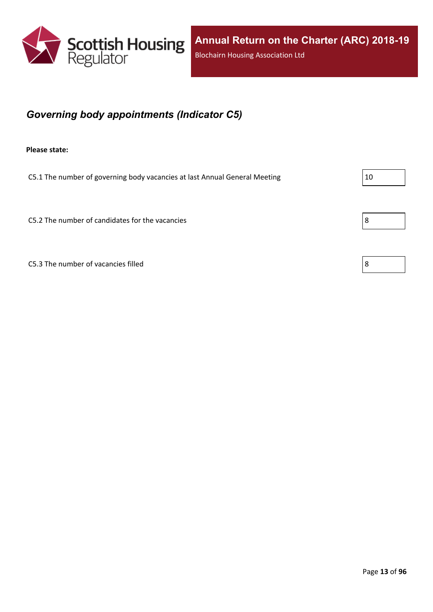

## <span id="page-12-0"></span>*Governing body appointments (Indicator C5)*

**Please state:**

C5.1 The number of governing body vacancies at last Annual General Meeting  $|10 \rangle$ 

C5.2 The number of candidates for the vacancies  $\vert 8 \vert$ 

C5.3 The number of vacancies filled  $\vert 8$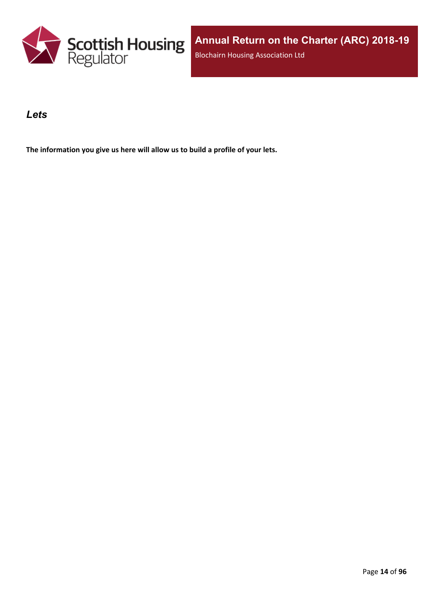

#### <span id="page-13-0"></span>*Lets*

**The information you give us here will allow us to build a profile of your lets.**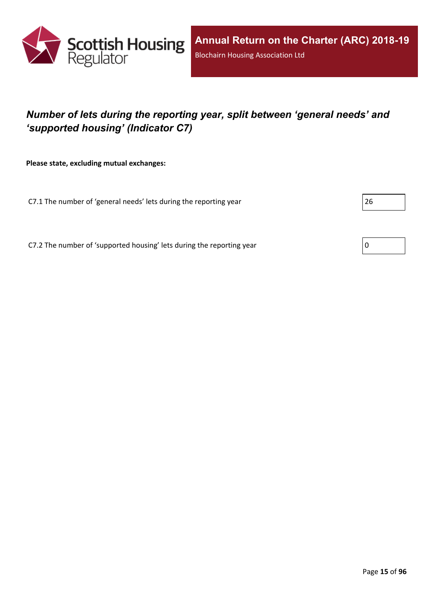

## <span id="page-14-0"></span>*Number of lets during the reporting year, split between 'general needs' and 'supported housing' (Indicator C7)*

**Please state, excluding mutual exchanges:**

C7.1 The number of 'general needs' lets during the reporting year 26

C7.2 The number of 'supported housing' lets during the reporting year  $\vert 0 \rangle$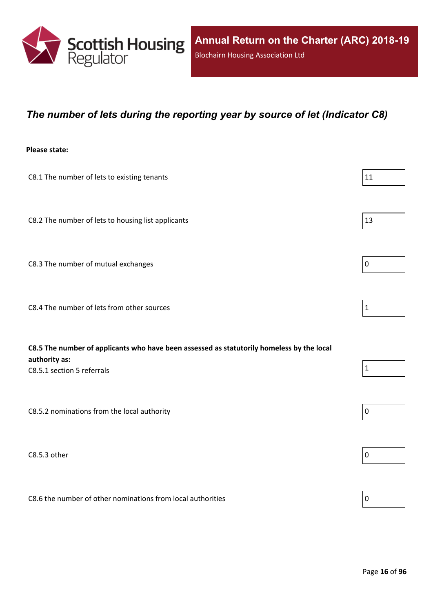

#### <span id="page-15-0"></span>*The number of lets during the reporting year by source of let (Indicator C8)*

#### **Please state:**

| C8.1 The number of lets to existing tenants                                               | 11           |
|-------------------------------------------------------------------------------------------|--------------|
|                                                                                           |              |
| C8.2 The number of lets to housing list applicants                                        | 13           |
|                                                                                           |              |
| C8.3 The number of mutual exchanges                                                       | $\pmb{0}$    |
| C8.4 The number of lets from other sources                                                | $\mathbf{1}$ |
|                                                                                           |              |
|                                                                                           |              |
| C8.5 The number of applicants who have been assessed as statutorily homeless by the local |              |
| authority as:<br>C8.5.1 section 5 referrals                                               | $\mathbf{1}$ |
|                                                                                           |              |
| C8.5.2 nominations from the local authority                                               | $\pmb{0}$    |
| C8.5.3 other                                                                              | $\pmb{0}$    |
|                                                                                           |              |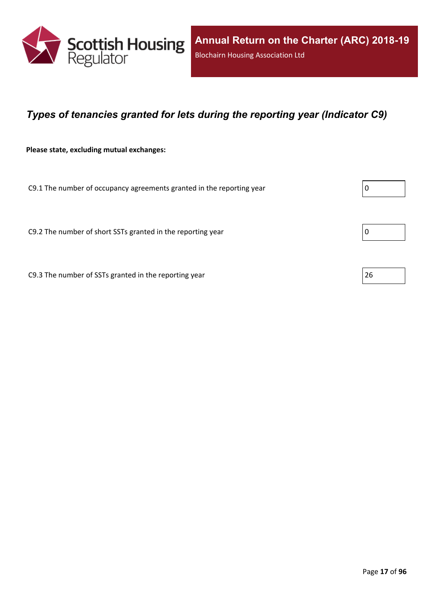

### <span id="page-16-0"></span>*Types of tenancies granted for lets during the reporting year (Indicator C9)*

**Please state, excluding mutual exchanges:**

C9.1 The number of occupancy agreements granted in the reporting year

C9.2 The number of short SSTs granted in the reporting year  $\vert$  0

C9.3 The number of SSTs granted in the reporting year  $\vert$  26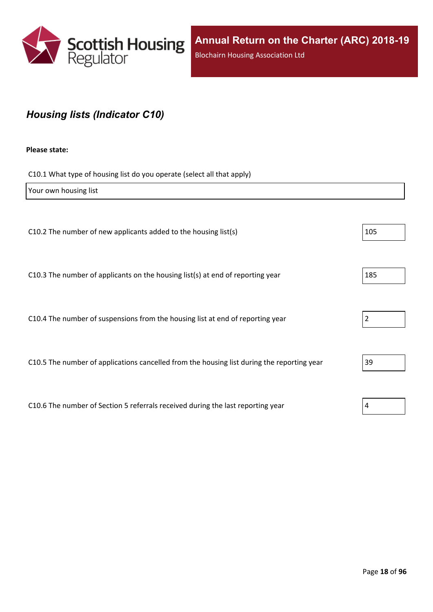

## <span id="page-17-0"></span>*Housing lists (Indicator C10)*

#### **Please state:**

C10.1 What type of housing list do you operate (select all that apply)

| Your own housing list                                                                      |     |
|--------------------------------------------------------------------------------------------|-----|
|                                                                                            |     |
| C10.2 The number of new applicants added to the housing list(s)                            | 105 |
|                                                                                            |     |
| C10.3 The number of applicants on the housing list(s) at end of reporting year             | 185 |
|                                                                                            |     |
| C10.4 The number of suspensions from the housing list at end of reporting year             |     |
|                                                                                            |     |
| C10.5 The number of applications cancelled from the housing list during the reporting year | 39  |
|                                                                                            |     |
| C10.6 The number of Section 5 referrals received during the last reporting year            | 4   |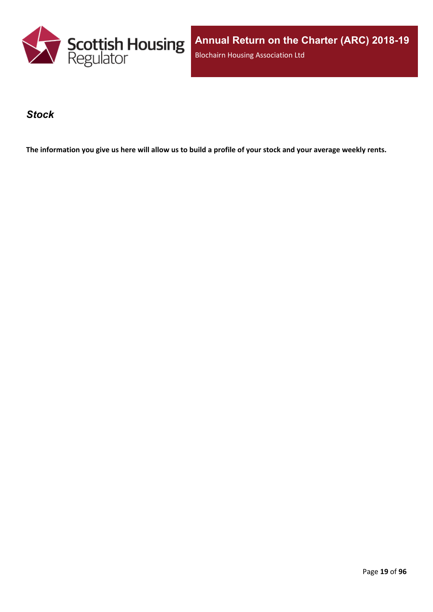

**Annual Return on the Charter (ARC) 2018-19** Blochairn Housing Association Ltd

#### <span id="page-18-0"></span>*Stock*

The information you give us here will allow us to build a profile of your stock and your average weekly rents.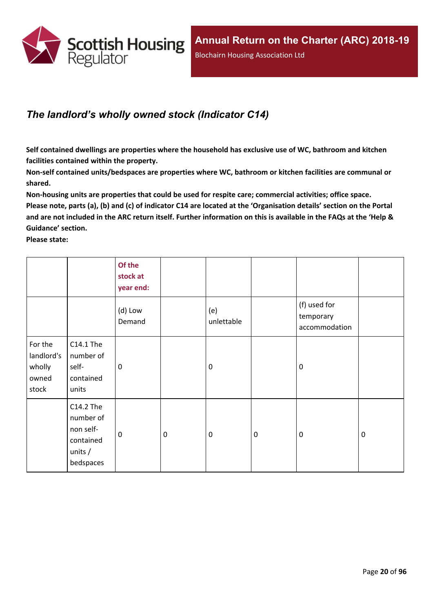

## <span id="page-19-0"></span>*The landlord's wholly owned stock (Indicator C14)*

**Self contained dwellings are properties where the household has exclusive use of WC, bathroom and kitchen facilities contained within the property.**

**Non-self contained units/bedspaces are properties where WC, bathroom or kitchen facilities are communal or shared.**

**Non-housing units are properties that could be used for respite care; commercial activities; office space.** Please note, parts (a), (b) and (c) of indicator C14 are located at the 'Organisation details' section on the Portal and are not included in the ARC return itself. Further information on this is available in the FAQs at the 'Help & **Guidance' section.**

**Please state:**

|                                                   |                                                                            | Of the<br>stock at<br>year end: |                  |                   |           |                                            |             |
|---------------------------------------------------|----------------------------------------------------------------------------|---------------------------------|------------------|-------------------|-----------|--------------------------------------------|-------------|
|                                                   |                                                                            | (d) Low<br>Demand               |                  | (e)<br>unlettable |           | (f) used for<br>temporary<br>accommodation |             |
| For the<br>landlord's<br>wholly<br>owned<br>stock | C14.1 The<br>number of<br>self-<br>contained<br>units                      | 0                               |                  | $\mathbf 0$       |           | $\mathbf 0$                                |             |
|                                                   | C14.2 The<br>number of<br>non self-<br>contained<br>units $/$<br>bedspaces | $\mathbf 0$                     | $\boldsymbol{0}$ | $\boldsymbol{0}$  | $\pmb{0}$ | $\mathbf 0$                                | $\mathbf 0$ |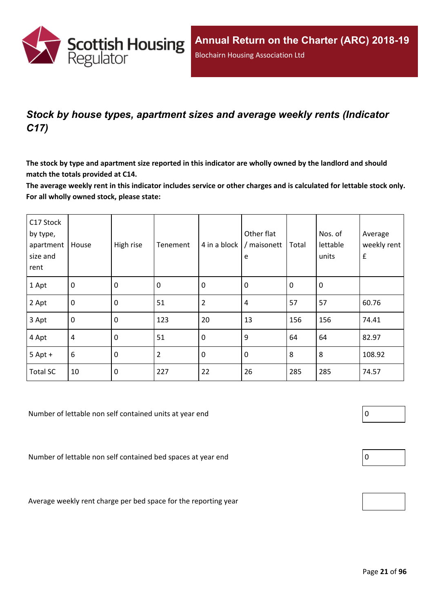

## <span id="page-20-0"></span>*Stock by house types, apartment sizes and average weekly rents (Indicator C17)*

The stock by type and apartment size reported in this indicator are wholly owned by the landlord and should **match the totals provided at C14.**

The average weekly rent in this indicator includes service or other charges and is calculated for lettable stock only. **For all wholly owned stock, please state:**

| C17 Stock<br>by type,<br>apartment<br>size and<br>rent | House            | High rise   | Tenement       | 4 in a block   | Other flat<br>/ maisonett<br>e | Total       | Nos. of<br>lettable<br>units | Average<br>weekly rent<br>$\pmb{\mathsf{f}}$ |
|--------------------------------------------------------|------------------|-------------|----------------|----------------|--------------------------------|-------------|------------------------------|----------------------------------------------|
| 1 Apt                                                  | $\overline{0}$   | $\mathbf 0$ | 0              | $\mathbf 0$    | $\mathbf 0$                    | $\mathbf 0$ | 0                            |                                              |
| 2 Apt                                                  | $\mathbf 0$      | $\mathbf 0$ | 51             | $\overline{2}$ | 4                              | 57          | 57                           | 60.76                                        |
| 3 Apt                                                  | $\boldsymbol{0}$ | $\mathbf 0$ | 123            | 20             | 13                             | 156         | 156                          | 74.41                                        |
| 4 Apt                                                  | $\overline{4}$   | $\mathbf 0$ | 51             | $\mathbf 0$    | 9                              | 64          | 64                           | 82.97                                        |
| $5$ Apt +                                              | $6\,$            | $\mathbf 0$ | $\overline{2}$ | $\mathbf 0$    | $\mathbf 0$                    | 8           | 8                            | 108.92                                       |
| <b>Total SC</b>                                        | 10               | $\mathbf 0$ | 227            | 22             | 26                             | 285         | 285                          | 74.57                                        |

Number of lettable non self contained units at year end  $\vert 0 \vert$ 

Number of lettable non self contained bed spaces at year end  $\vert$  0

Average weekly rent charge per bed space for the reporting year

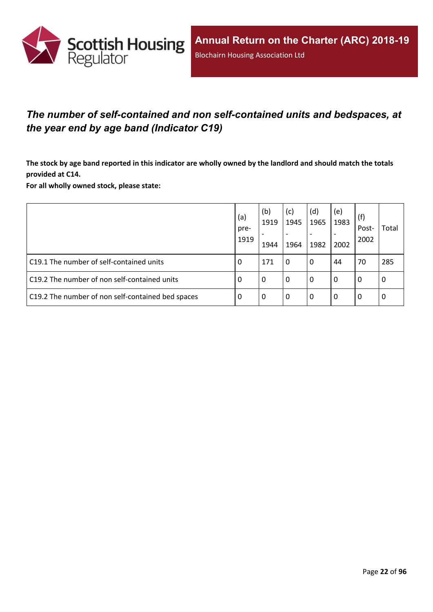

## <span id="page-21-0"></span>*The number of self-contained and non self-contained units and bedspaces, at the year end by age band (Indicator C19)*

The stock by age band reported in this indicator are wholly owned by the landlord and should match the totals **provided at C14.**

**For all wholly owned stock, please state:**

|                                                   | (a)<br>pre-<br>1919 | (b)<br>1919<br>1944 | (c)<br>1945<br>$\overline{\phantom{a}}$<br>1964 | (d)<br>1965<br>1982 | (e)<br>1983<br>2002 | (f)<br>Post-<br>2002 | Total |
|---------------------------------------------------|---------------------|---------------------|-------------------------------------------------|---------------------|---------------------|----------------------|-------|
| C19.1 The number of self-contained units          | 0                   | 171                 | l 0                                             | 0                   | 44                  | 70                   | 285   |
| C19.2 The number of non self-contained units      | -0                  | 0                   | l 0                                             | 0                   | $\Omega$            | 0                    | l 0   |
| C19.2 The number of non self-contained bed spaces | -0                  | 0                   | l 0                                             | 0                   | 0                   | 0                    | l 0   |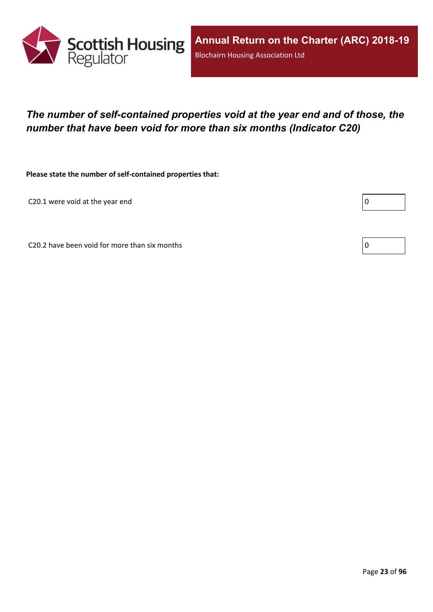

## <span id="page-22-0"></span>*The number of self-contained properties void at the year end and of those, the number that have been void for more than six months (Indicator C20)*

**Please state the number of self-contained properties that:**

C20.1 were void at the year end

Г

C20.2 have been void for more than six months  $\vert 0 \rangle$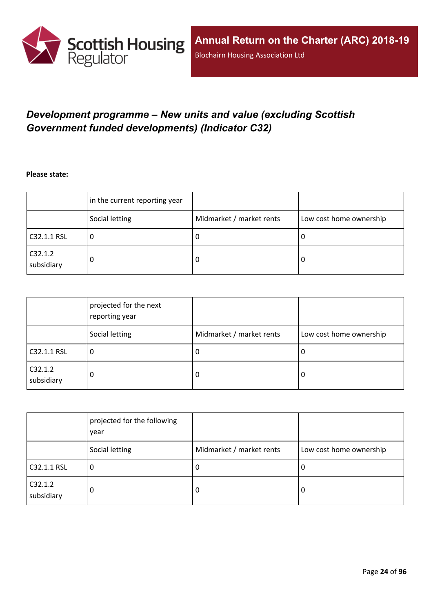

## <span id="page-23-0"></span>*Development programme – New units and value (excluding Scottish Government funded developments) (Indicator C32)*

**Please state:**

|                       | in the current reporting year |                          |                         |
|-----------------------|-------------------------------|--------------------------|-------------------------|
|                       | Social letting                | Midmarket / market rents | Low cost home ownership |
| C32.1.1 RSL           | u                             | υ                        | ∣U                      |
| C32.1.2<br>subsidiary | 0                             | υ                        | O                       |

|                       | projected for the next<br>reporting year |                          |                         |
|-----------------------|------------------------------------------|--------------------------|-------------------------|
|                       | Social letting                           | Midmarket / market rents | Low cost home ownership |
| C32.1.1 RSL           | 0                                        | J.                       | 0                       |
| C32.1.2<br>subsidiary | 0                                        | 0                        | 0                       |

|                       | projected for the following<br>year |                          |                         |
|-----------------------|-------------------------------------|--------------------------|-------------------------|
|                       | Social letting                      | Midmarket / market rents | Low cost home ownership |
| C32.1.1 RSL           | 0                                   | -U                       | 0                       |
| C32.1.2<br>subsidiary | 0                                   | 0                        | 0                       |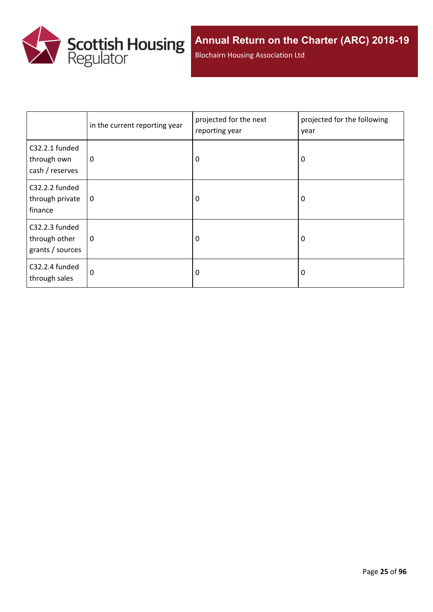

Blochairn Housing Association Ltd

|                                                     | in the current reporting year | projected for the next<br>reporting year | projected for the following<br>year |
|-----------------------------------------------------|-------------------------------|------------------------------------------|-------------------------------------|
| C32.2.1 funded<br>through own<br>cash / reserves    | $\mathbf 0$                   | 0                                        | 0                                   |
| C32.2.2 funded<br>through private<br>finance        | $\mathbf 0$                   | 0                                        | 0                                   |
| C32.2.3 funded<br>through other<br>grants / sources | 0                             | $\Omega$                                 | 0                                   |
| C32.2.4 funded<br>through sales                     | $\Omega$                      | 0                                        | 0                                   |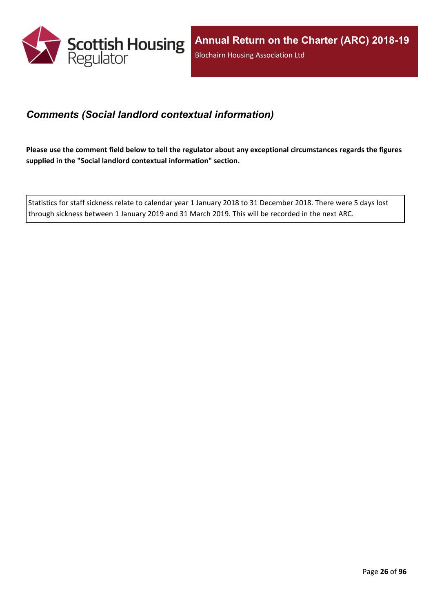

### <span id="page-25-0"></span>*Comments (Social landlord contextual information)*

Please use the comment field below to tell the regulator about any exceptional circumstances regards the figures **supplied in the "Social landlord contextual information" section.**

Statistics for staff sickness relate to calendar year 1 January 2018 to 31 December 2018. There were 5 days lost through sickness between 1 January 2019 and 31 March 2019. This will be recorded in the next ARC.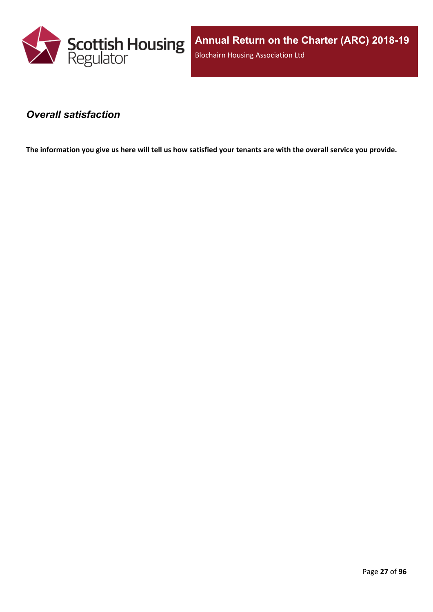

**Annual Return on the Charter (ARC) 2018-19** Blochairn Housing Association Ltd

#### <span id="page-26-0"></span>*Overall satisfaction*

The information you give us here will tell us how satisfied your tenants are with the overall service you provide.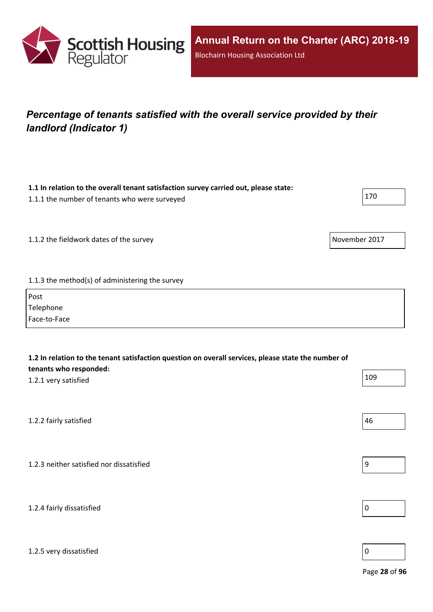

## <span id="page-27-0"></span>*Percentage of tenants satisfied with the overall service provided by their landlord (Indicator 1)*

**1.1 In relation to the overall tenant satisfaction survey carried out, please state:**

| 1.1.1 the number of tenants who were surveyed   |               | 170 |
|-------------------------------------------------|---------------|-----|
|                                                 |               |     |
| 1.1.2 the fieldwork dates of the survey         | November 2017 |     |
|                                                 |               |     |
| 1.1.3 the method(s) of administering the survey |               |     |
|                                                 |               |     |

| Post         |  |
|--------------|--|
| Telephone    |  |
| Face-to-Face |  |

| 1.2 In relation to the tenant satisfaction question on overall services, please state the number of<br>tenants who responded: |     |
|-------------------------------------------------------------------------------------------------------------------------------|-----|
| 1.2.1 very satisfied                                                                                                          | 109 |
|                                                                                                                               |     |
| 1.2.2 fairly satisfied                                                                                                        | 46  |
|                                                                                                                               |     |
| 1.2.3 neither satisfied nor dissatisfied                                                                                      | 9   |
|                                                                                                                               |     |



#### 1.2.5 very dissatisfied and the contract of the contract of the contract of the contract of  $\sim$  0

Page **28** of **96**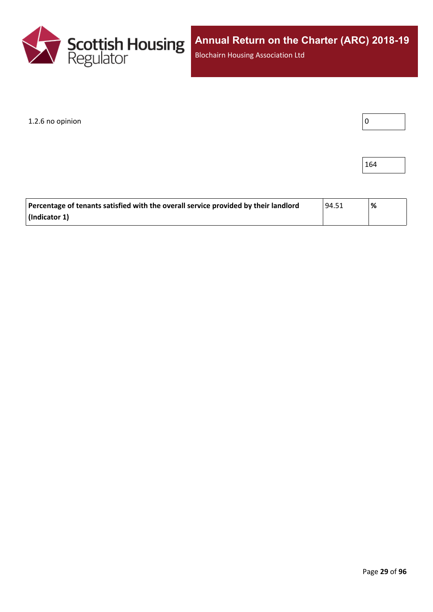

1.2.6 no opinion

164

| Percentage of tenants satisfied with the overall service provided by their landlord | ' 94.51 | % |
|-------------------------------------------------------------------------------------|---------|---|
| (Indicator 1)                                                                       |         |   |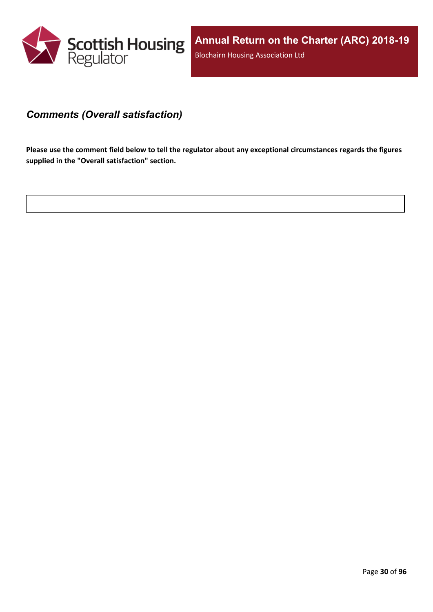

#### <span id="page-29-0"></span>*Comments (Overall satisfaction)*

Please use the comment field below to tell the regulator about any exceptional circumstances regards the figures **supplied in the "Overall satisfaction" section.**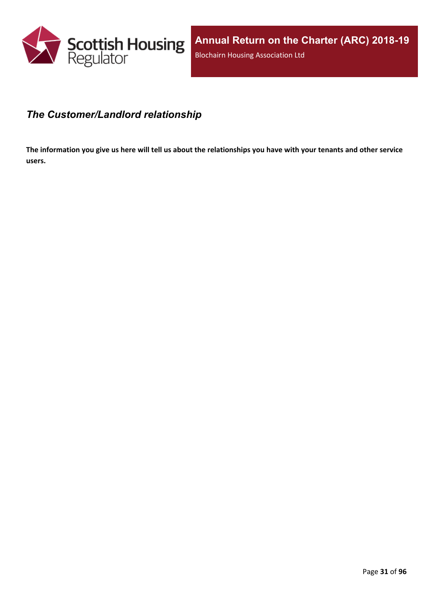

#### <span id="page-30-0"></span>*The Customer/Landlord relationship*

The information you give us here will tell us about the relationships you have with your tenants and other service **users.**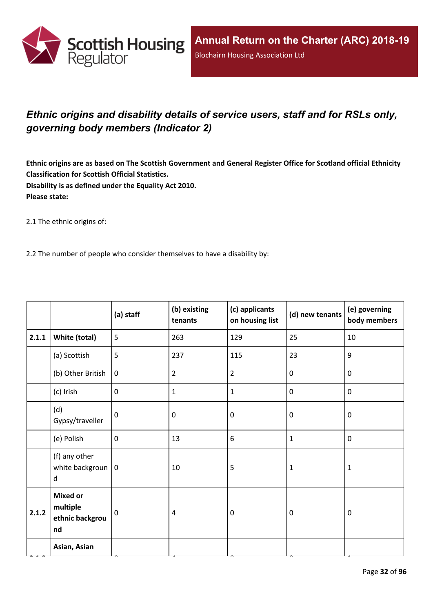

## <span id="page-31-0"></span>*Ethnic origins and disability details of service users, staff and for RSLs only, governing body members (Indicator 2)*

Ethnic origins are as based on The Scottish Government and General Register Office for Scotland official Ethnicity **Classification for Scottish Official Statistics. Disability is as defined under the Equality Act 2010. Please state:**

2.1 The ethnic origins of:

2.2 The number of people who consider themselves to have a disability by:

|       |                                                      | (a) staff   | (b) existing<br>tenants | (c) applicants<br>on housing list | (d) new tenants  | (e) governing<br>body members |
|-------|------------------------------------------------------|-------------|-------------------------|-----------------------------------|------------------|-------------------------------|
| 2.1.1 | White (total)                                        | 5           | 263                     | 129                               | 25               | $10\,$                        |
|       | (a) Scottish                                         | 5           | 237                     | 115                               | 23               | 9                             |
|       | (b) Other British                                    | $\mathbf 0$ | $\overline{2}$          | $\overline{2}$                    | $\mathbf 0$      | $\mathbf 0$                   |
|       | (c) Irish                                            | $\mathbf 0$ | 1                       | $\mathbf{1}$                      | $\mathbf 0$      | $\mathbf 0$                   |
|       | (d)<br>Gypsy/traveller                               | $\mathbf 0$ | 0                       | $\mathbf 0$                       | $\mathbf 0$      | $\mathbf 0$                   |
|       | (e) Polish                                           | $\mathbf 0$ | 13                      | 6                                 | $\mathbf{1}$     | $\pmb{0}$                     |
|       | (f) any other<br>white backgroun $ 0$<br>d           |             | 10                      | 5                                 | $\mathbf 1$      | $\mathbf{1}$                  |
| 2.1.2 | <b>Mixed or</b><br>multiple<br>ethnic backgrou<br>nd | 0           | $\overline{4}$          | $\mathbf 0$                       | $\boldsymbol{0}$ | $\mathbf 0$                   |
|       | Asian, Asian                                         |             |                         |                                   |                  |                               |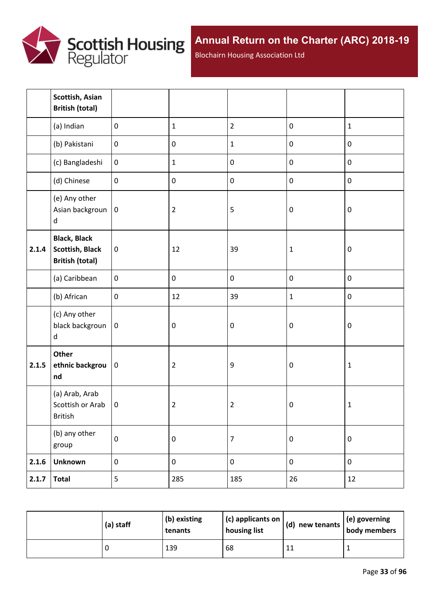

Blochairn Housing Association Ltd

|       | Scottish, Asian<br><b>British (total)</b>                               |                  |                |                |                  |                  |
|-------|-------------------------------------------------------------------------|------------------|----------------|----------------|------------------|------------------|
|       | (a) Indian                                                              | $\mathbf 0$      | $\mathbf{1}$   | $\overline{2}$ | $\pmb{0}$        | $\mathbf{1}$     |
|       | (b) Pakistani                                                           | $\boldsymbol{0}$ | $\pmb{0}$      | $\mathbf 1$    | $\pmb{0}$        | $\pmb{0}$        |
|       | (c) Bangladeshi                                                         | $\boldsymbol{0}$ | $\mathbf{1}$   | $\pmb{0}$      | $\pmb{0}$        | $\pmb{0}$        |
|       | (d) Chinese                                                             | $\mathbf 0$      | $\pmb{0}$      | $\pmb{0}$      | $\pmb{0}$        | $\pmb{0}$        |
|       | (e) Any other<br>Asian backgroun<br>$\sf d$                             | $\boldsymbol{0}$ | $\overline{2}$ | 5              | $\boldsymbol{0}$ | $\pmb{0}$        |
| 2.1.4 | <b>Black, Black</b><br><b>Scottish, Black</b><br><b>British (total)</b> | $\pmb{0}$        | 12             | 39             | $\mathbf{1}$     | $\pmb{0}$        |
|       | (a) Caribbean                                                           | $\mathbf 0$      | $\pmb{0}$      | $\pmb{0}$      | $\pmb{0}$        | $\pmb{0}$        |
|       | (b) African                                                             | $\pmb{0}$        | 12             | 39             | $\mathbf{1}$     | $\pmb{0}$        |
|       | (c) Any other<br>black backgroun<br>d                                   | $\pmb{0}$        | $\pmb{0}$      | $\pmb{0}$      | $\boldsymbol{0}$ | $\boldsymbol{0}$ |
| 2.1.5 | Other<br>ethnic backgrou<br>nd                                          | $\pmb{0}$        | $\overline{2}$ | 9              | $\boldsymbol{0}$ | $\mathbf 1$      |
|       | (a) Arab, Arab<br>Scottish or Arab<br>British                           | $\mathbf 0$      | $\overline{2}$ | $\overline{2}$ | $\boldsymbol{0}$ | $\mathbf{1}$     |
|       | (b) any other<br>group                                                  | $\pmb{0}$        | $\pmb{0}$      | $\overline{7}$ | $\pmb{0}$        | $\pmb{0}$        |
| 2.1.6 | <b>Unknown</b>                                                          | $\pmb{0}$        | $\pmb{0}$      | $\mathbf 0$    | $\pmb{0}$        | $\pmb{0}$        |
| 2.1.7 | <b>Total</b>                                                            | $\overline{5}$   | 285            | 185            | 26               | 12               |

| (a) staff | (b) existing<br>tenants | (c) applicants on<br>housing list | (d) new tenants $ $ | $\vert$ (e) governing<br>body members |
|-----------|-------------------------|-----------------------------------|---------------------|---------------------------------------|
|           | 139                     | 68                                | ᆠᅸ                  |                                       |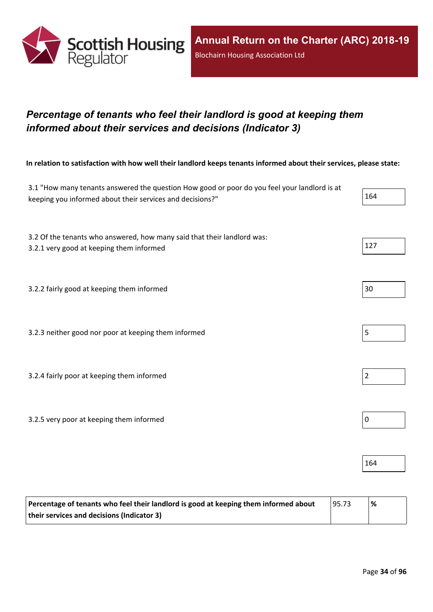

## <span id="page-33-0"></span>*Percentage of tenants who feel their landlord is good at keeping them informed about their services and decisions (Indicator 3)*

In relation to satisfaction with how well their landlord keeps tenants informed about their services, please state:

| 3.1 "How many tenants answered the question How good or poor do you feel your landlord is at<br>keeping you informed about their services and decisions?" | 164            |
|-----------------------------------------------------------------------------------------------------------------------------------------------------------|----------------|
| 3.2 Of the tenants who answered, how many said that their landlord was:<br>3.2.1 very good at keeping them informed                                       | 127            |
| 3.2.2 fairly good at keeping them informed                                                                                                                | 30             |
| 3.2.3 neither good nor poor at keeping them informed                                                                                                      | 5              |
| 3.2.4 fairly poor at keeping them informed                                                                                                                | $\overline{2}$ |
| 3.2.5 very poor at keeping them informed                                                                                                                  | $\pmb{0}$      |
|                                                                                                                                                           | 164            |

| Percentage of tenants who feel their landlord is good at keeping them informed about | 95.73 | % |
|--------------------------------------------------------------------------------------|-------|---|
| their services and decisions (Indicator 3)                                           |       |   |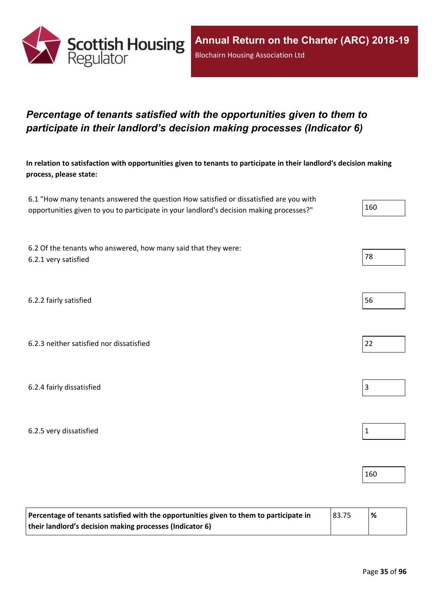

## <span id="page-34-0"></span>*Percentage of tenants satisfied with the opportunities given to them to participate in their landlord's decision making processes (Indicator 6)*

In relation to satisfaction with opportunities given to tenants to participate in their landlord's decision making **process, please state:**

| 6.1 "How many tenants answered the question How satisfied or dissatisfied are you with   |     |
|------------------------------------------------------------------------------------------|-----|
| opportunities given to you to participate in your landlord's decision making processes?" | 160 |

6.2 Of the tenants who answered, how many said that they were: 6.2.1 very satisfied and the set of the set of the set of the set of the set of the set of the set of the set of the set of the set of the set of the set of the set of the set of the set of the set of the set of the set of

6.2.2 fairly satisfied 56

6.2.3 neither satisfied nor dissatisfied 22

6.2.4 fairly dissatisfied  $\vert$  3

6.2.5 very dissatisfied and the set of the set of the set of the set of the set of the set of the set of the set of the set of the set of the set of the set of the set of the set of the set of the set of the set of the set

| Percentage of tenants satisfied with the opportunities given to them to participate in | 83.75 | $\frac{9}{6}$ |
|----------------------------------------------------------------------------------------|-------|---------------|
| their landlord's decision making processes (Indicator 6)                               |       |               |

160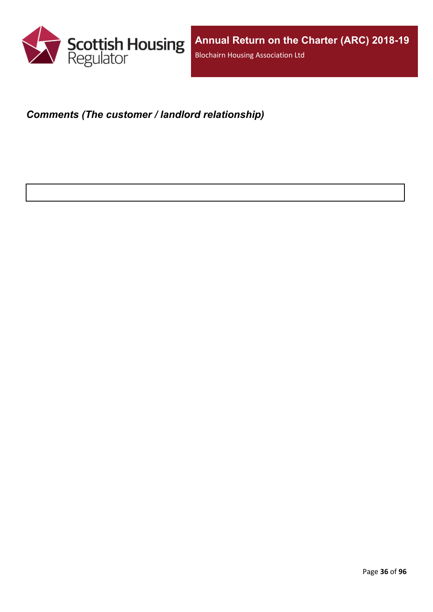

### <span id="page-35-0"></span>*Comments (The customer / landlord relationship)*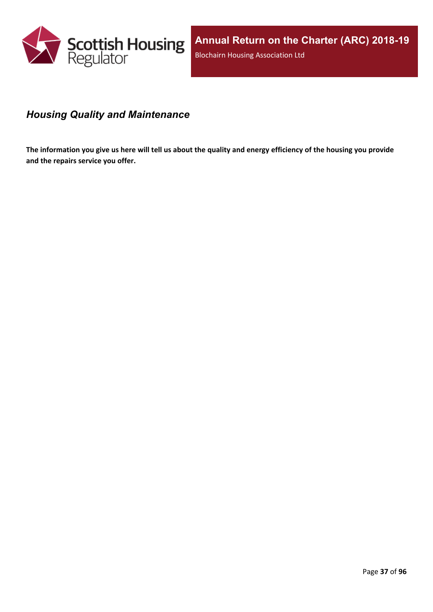

# *Housing Quality and Maintenance*

The information you give us here will tell us about the quality and energy efficiency of the housing you provide **and the repairs service you offer.**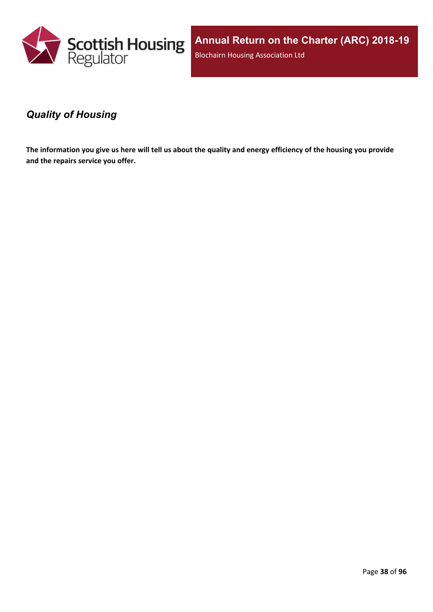

**Annual Return on the Charter (ARC) 2018-19** Blochairn Housing Association Ltd

### *Quality of Housing*

The information you give us here will tell us about the quality and energy efficiency of the housing you provide **and the repairs service you offer.**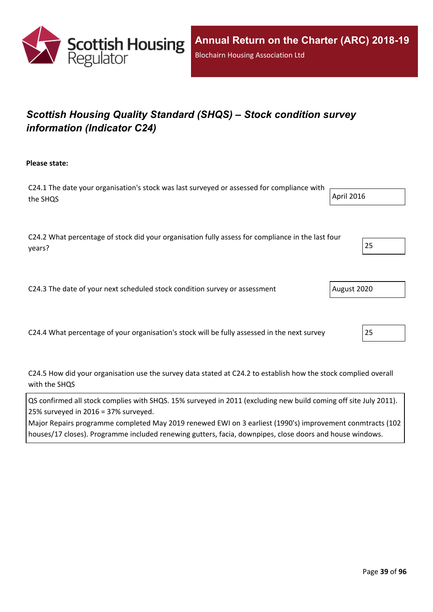

# *Scottish Housing Quality Standard (SHQS) – Stock condition survey information (Indicator C24)*

**Please state:**

C24.1 The date your organisation's stock was last surveyed or assessed for compliance with the SHQS April 2016

C24.2 What percentage of stock did your organisation fully assess for compliance in the last four years? 25

C24.3 The date of your next scheduled stock condition survey or assessment  $\vert$  August 2020

C24.4 What percentage of your organisation's stock will be fully assessed in the next survey 25

C24.5 How did your organisation use the survey data stated at C24.2 to establish how the stock complied overall with the SHQS

QS confirmed all stock complies with SHQS. 15% surveyed in 2011 (excluding new build coming off site July 2011). 25% surveyed in 2016 = 37% surveyed.

Major Repairs programme completed May 2019 renewed EWI on 3 earliest (1990's) improvement conmtracts (102 houses/17 closes). Programme included renewing gutters, facia, downpipes, close doors and house windows.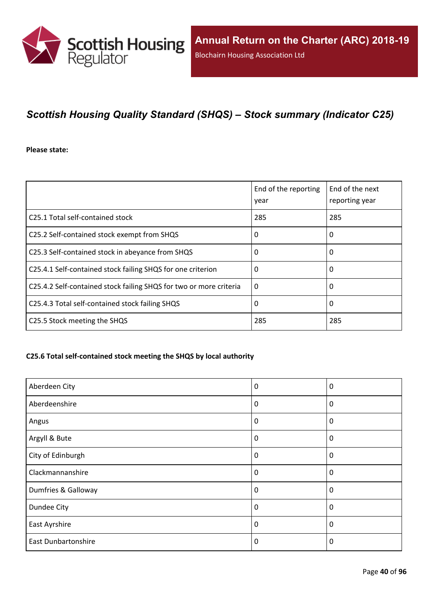

## *Scottish Housing Quality Standard (SHQS) – Stock summary (Indicator C25)*

#### **Please state:**

|                                                                    | End of the reporting<br>year | End of the next<br>reporting year |
|--------------------------------------------------------------------|------------------------------|-----------------------------------|
| C25.1 Total self-contained stock                                   | 285                          | 285                               |
| C25.2 Self-contained stock exempt from SHQS                        | 0                            | 0                                 |
| C25.3 Self-contained stock in abeyance from SHQS                   | 0                            | 0                                 |
| C25.4.1 Self-contained stock failing SHQS for one criterion        | 0                            | 0                                 |
| C25.4.2 Self-contained stock failing SHQS for two or more criteria | $\Omega$                     | 0                                 |
| C25.4.3 Total self-contained stock failing SHQS                    | 0                            | 0                                 |
| C25.5 Stock meeting the SHQS                                       | 285                          | 285                               |

#### **C25.6 Total self-contained stock meeting the SHQS by local authority**

| Aberdeen City              | 0        | 0           |
|----------------------------|----------|-------------|
| Aberdeenshire              | 0        | 0           |
| Angus                      | $\Omega$ | $\mathbf 0$ |
| Argyll & Bute              | 0        | 0           |
| City of Edinburgh          | 0        | $\mathbf 0$ |
| Clackmannanshire           | $\Omega$ | $\Omega$    |
| Dumfries & Galloway        | $\Omega$ | 0           |
| Dundee City                | 0        | $\mathbf 0$ |
| East Ayrshire              | 0        | 0           |
| <b>East Dunbartonshire</b> | $\Omega$ | $\Omega$    |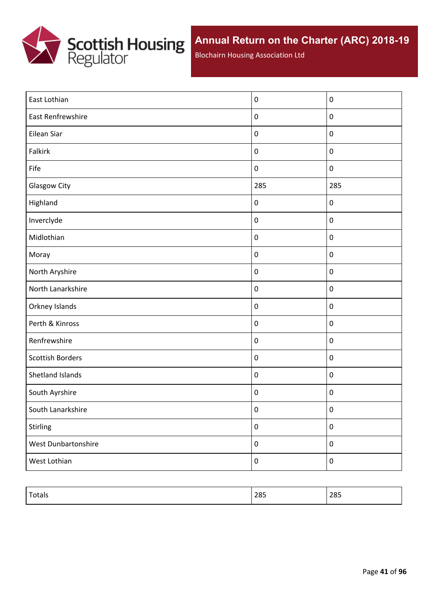

Blochairn Housing Association Ltd

| East Lothian            | $\boldsymbol{0}$ | $\mathbf 0$      |
|-------------------------|------------------|------------------|
| East Renfrewshire       | $\boldsymbol{0}$ | $\pmb{0}$        |
| Eilean Siar             | $\pmb{0}$        | $\pmb{0}$        |
| Falkirk                 | $\pmb{0}$        | $\pmb{0}$        |
| Fife                    | $\boldsymbol{0}$ | $\boldsymbol{0}$ |
| <b>Glasgow City</b>     | 285              | 285              |
| Highland                | $\pmb{0}$        | $\pmb{0}$        |
| Inverclyde              | $\boldsymbol{0}$ | $\pmb{0}$        |
| Midlothian              | $\pmb{0}$        | $\pmb{0}$        |
| Moray                   | $\boldsymbol{0}$ | $\pmb{0}$        |
| North Aryshire          | $\boldsymbol{0}$ | $\pmb{0}$        |
| North Lanarkshire       | $\boldsymbol{0}$ | $\pmb{0}$        |
| Orkney Islands          | $\boldsymbol{0}$ | $\pmb{0}$        |
| Perth & Kinross         | $\boldsymbol{0}$ | $\pmb{0}$        |
| Renfrewshire            | $\boldsymbol{0}$ | $\mathbf 0$      |
| <b>Scottish Borders</b> | $\boldsymbol{0}$ | $\mathbf 0$      |
| Shetland Islands        | $\pmb{0}$        | $\mathbf 0$      |
| South Ayrshire          | $\pmb{0}$        | $\mathbf 0$      |
| South Lanarkshire       | $\pmb{0}$        | $\boldsymbol{0}$ |
| <b>Stirling</b>         | $\pmb{0}$        | $\pmb{0}$        |
| West Dunbartonshire     | $\boldsymbol{0}$ | $\boldsymbol{0}$ |
| West Lothian            | $\pmb{0}$        | $\pmb{0}$        |

| $-$<br>$\cdot$ | 285 | 20r<br>200 |
|----------------|-----|------------|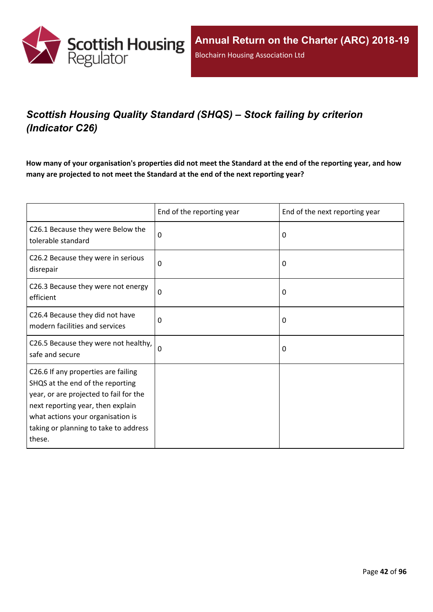

# *Scottish Housing Quality Standard (SHQS) – Stock failing by criterion (Indicator C26)*

How many of your organisation's properties did not meet the Standard at the end of the reporting year, and how **many are projected to not meet the Standard at the end of the next reporting year?**

|                                                                                                                                                                                                                                                | End of the reporting year | End of the next reporting year |
|------------------------------------------------------------------------------------------------------------------------------------------------------------------------------------------------------------------------------------------------|---------------------------|--------------------------------|
| C26.1 Because they were Below the<br>tolerable standard                                                                                                                                                                                        | 0                         | $\Omega$                       |
| C26.2 Because they were in serious<br>disrepair                                                                                                                                                                                                | 0                         | 0                              |
| C26.3 Because they were not energy<br>efficient                                                                                                                                                                                                | $\mathbf 0$               | 0                              |
| C26.4 Because they did not have<br>modern facilities and services                                                                                                                                                                              | 0                         | 0                              |
| C26.5 Because they were not healthy,<br>safe and secure                                                                                                                                                                                        | $\Omega$                  | 0                              |
| C26.6 If any properties are failing<br>SHQS at the end of the reporting<br>year, or are projected to fail for the<br>next reporting year, then explain<br>what actions your organisation is<br>taking or planning to take to address<br>these. |                           |                                |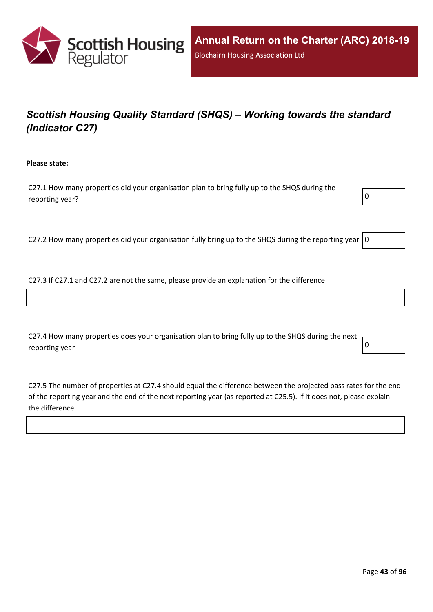

# *Scottish Housing Quality Standard (SHQS) – Working towards the standard (Indicator C27)*

**Please state:**

C27.1 How many properties did your organisation plan to bring fully up to the SHQS during the reporting year?  $\boxed{0}$ 



C27.2 How many properties did your organisation fully bring up to the SHQS during the reporting year  $|0$ 

C27.3 If C27.1 and C27.2 are not the same, please provide an explanation for the difference

C27.4 How many properties does your organisation plan to bring fully up to the SHQS during the next reporting year  $\begin{bmatrix} 0 \end{bmatrix}$ 

C27.5 The number of properties at C27.4 should equal the difference between the projected pass rates for the end of the reporting year and the end of the next reporting year (as reported at C25.5). If it does not, please explain the difference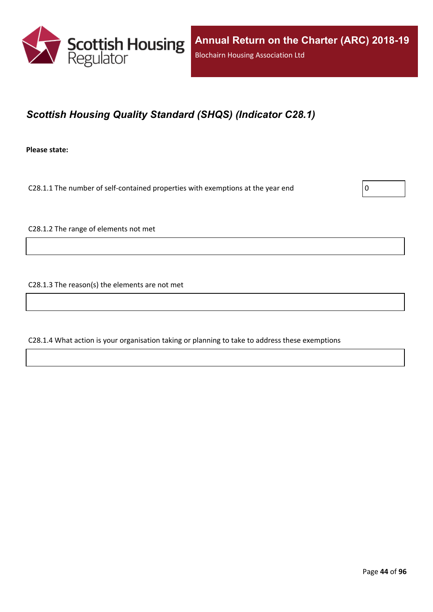

## *Scottish Housing Quality Standard (SHQS) (Indicator C28.1)*

**Please state:**

C28.1.1 The number of self-contained properties with exemptions at the year end  $\vert$  0

C28.1.2 The range of elements not met

C28.1.3 The reason(s) the elements are not met

C28.1.4 What action is your organisation taking or planning to take to address these exemptions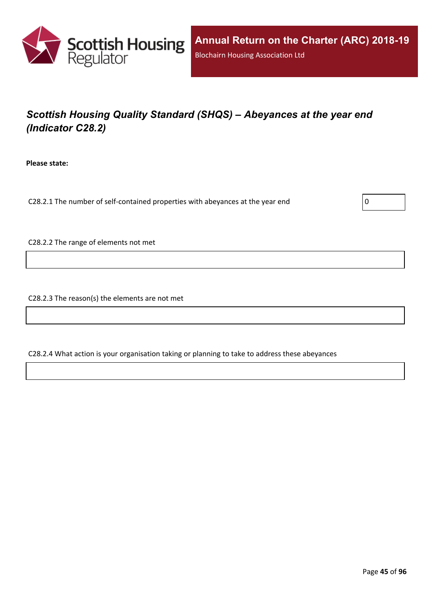

# *Scottish Housing Quality Standard (SHQS) – Abeyances at the year end (Indicator C28.2)*

**Please state:**

C28.2.1 The number of self-contained properties with abeyances at the year end  $\vert$  0

C28.2.2 The range of elements not met

C28.2.3 The reason(s) the elements are not met

C28.2.4 What action is your organisation taking or planning to take to address these abeyances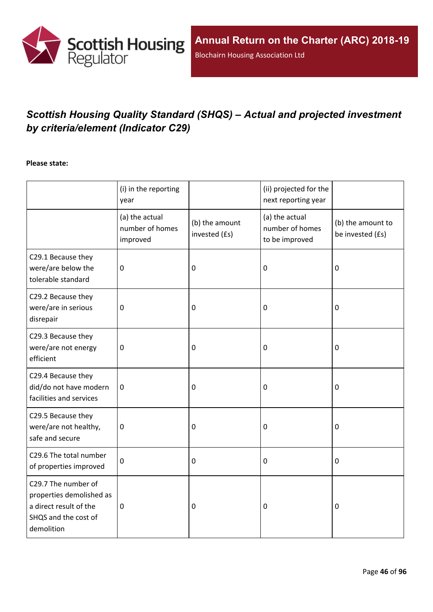

# *Scottish Housing Quality Standard (SHQS) – Actual and projected investment by criteria/element (Indicator C29)*

#### **Please state:**

|                                                                                                                 | (i) in the reporting<br>year                  |                                 | (ii) projected for the<br>next reporting year       |                                       |
|-----------------------------------------------------------------------------------------------------------------|-----------------------------------------------|---------------------------------|-----------------------------------------------------|---------------------------------------|
|                                                                                                                 | (a) the actual<br>number of homes<br>improved | (b) the amount<br>invested (£s) | (a) the actual<br>number of homes<br>to be improved | (b) the amount to<br>be invested (£s) |
| C29.1 Because they<br>were/are below the<br>tolerable standard                                                  | $\mathbf 0$                                   | $\mathbf 0$                     | 0                                                   | $\mathbf 0$                           |
| C29.2 Because they<br>were/are in serious<br>disrepair                                                          | $\mathbf 0$                                   | $\mathbf 0$                     | 0                                                   | $\mathbf 0$                           |
| C29.3 Because they<br>were/are not energy<br>efficient                                                          | $\mathbf 0$                                   | $\mathbf 0$                     | 0                                                   | $\mathbf 0$                           |
| C29.4 Because they<br>did/do not have modern<br>facilities and services                                         | 0                                             | 0                               | 0                                                   | 0                                     |
| C29.5 Because they<br>were/are not healthy,<br>safe and secure                                                  | $\pmb{0}$                                     | $\mathbf 0$                     | 0                                                   | $\pmb{0}$                             |
| C29.6 The total number<br>of properties improved                                                                | $\mathbf 0$                                   | $\mathbf 0$                     | $\pmb{0}$                                           | $\mathbf 0$                           |
| C29.7 The number of<br>properties demolished as<br>a direct result of the<br>SHQS and the cost of<br>demolition | $\pmb{0}$                                     | $\mathbf 0$                     | 0                                                   | $\mathbf 0$                           |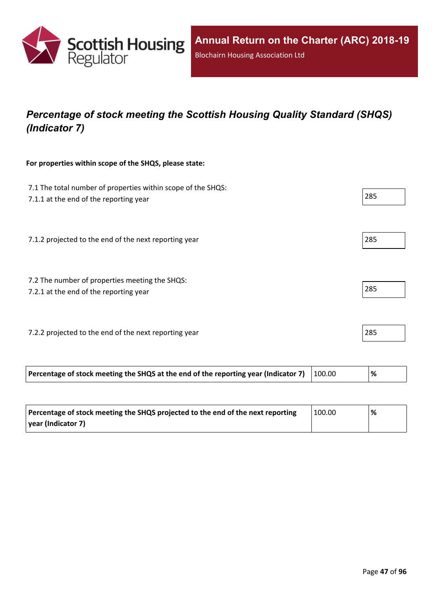

## *Percentage of stock meeting the Scottish Housing Quality Standard (SHQS) (Indicator 7)*

#### **For properties within scope of the SHQS, please state:**

| 7.1 The total number of properties within scope of the SHQS:<br>7.1.1 at the end of the reporting year |        | 285  |
|--------------------------------------------------------------------------------------------------------|--------|------|
| 7.1.2 projected to the end of the next reporting year                                                  |        | 285  |
| 7.2 The number of properties meeting the SHQS:<br>7.2.1 at the end of the reporting year               |        | 285  |
| 7.2.2 projected to the end of the next reporting year                                                  |        | 285  |
| Percentage of stock meeting the SHQS at the end of the reporting year (Indicator 7)                    | 100.00 | $\%$ |

| Percentage of stock meeting the SHQS projected to the end of the next reporting | 100.00 | % |
|---------------------------------------------------------------------------------|--------|---|
| vear (Indicator 7)                                                              |        |   |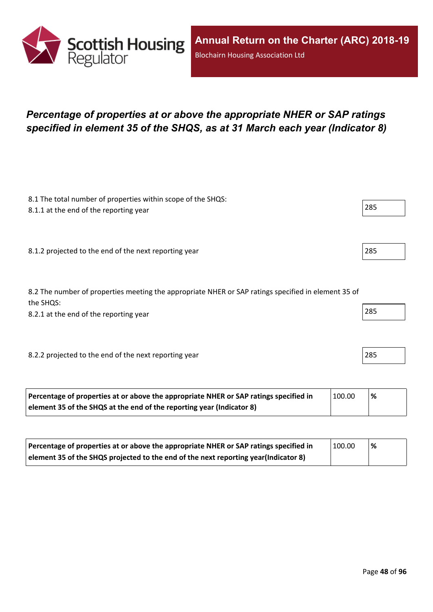

### *Percentage of properties at or above the appropriate NHER or SAP ratings specified in element 35 of the SHQS, as at 31 March each year (Indicator 8)*

| 8.1 The total number of properties within scope of the SHQS:<br>8.1.1 at the end of the reporting year           | 285 |
|------------------------------------------------------------------------------------------------------------------|-----|
|                                                                                                                  |     |
| 8.1.2 projected to the end of the next reporting year                                                            | 285 |
|                                                                                                                  |     |
| 8.2 The number of properties meeting the appropriate NHER or SAP ratings specified in element 35 of<br>the SHQS: |     |
| 8.2.1 at the end of the reporting year                                                                           | 285 |
|                                                                                                                  |     |
| 8.2.2 projected to the end of the next reporting year                                                            | 285 |
|                                                                                                                  |     |

| Percentage of properties at or above the appropriate NHER or SAP ratings specified in | 100.00 | % |
|---------------------------------------------------------------------------------------|--------|---|
| element 35 of the SHQS at the end of the reporting year (Indicator 8)                 |        |   |

| Percentage of properties at or above the appropriate NHER or SAP ratings specified in | 100.00 | $\frac{9}{6}$ |
|---------------------------------------------------------------------------------------|--------|---------------|
| element 35 of the SHQS projected to the end of the next reporting year(Indicator 8)   |        |               |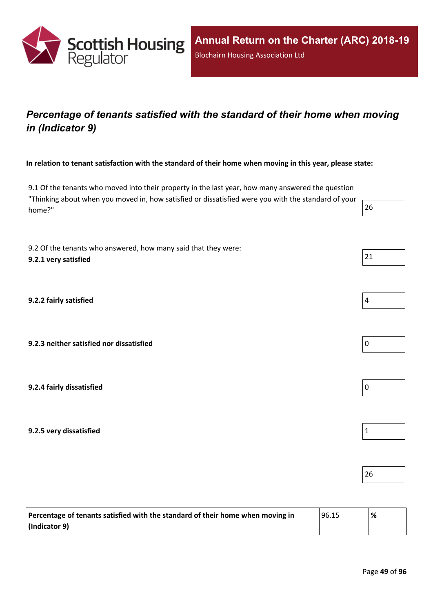

### *Percentage of tenants satisfied with the standard of their home when moving in (Indicator 9)*

In relation to tenant satisfaction with the standard of their home when moving in this year, please state:

9.1 Of the tenants who moved into their property in the last year, how many answered the question "Thinking about when you moved in, how satisfied or dissatisfied were you with the standard of your home?" 26

9.2 Of the tenants who answered, how many said that they were: **9.2.1 very satisfied** 21

**9.2.2 fairly satisfied** 4

**9.2.3 neither satisfied nor dissatisfied** 0

**9.2.4 fairly dissatisfied** 0

**9.2.5 very dissatisfied** 1

| Percentage of tenants satisfied with the standard of their home when moving in | 96.15 | % |
|--------------------------------------------------------------------------------|-------|---|
| $ $ (Indicator 9)                                                              |       |   |

26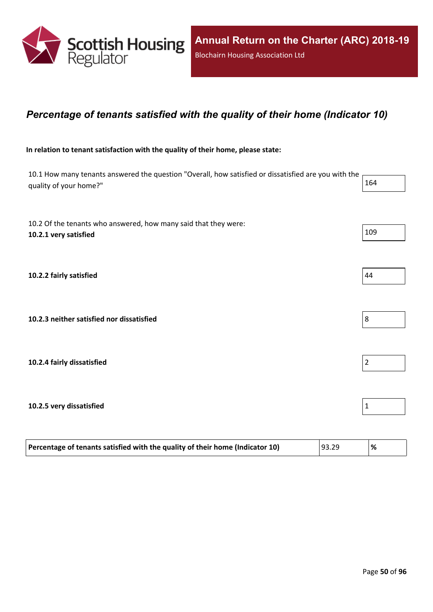

### *Percentage of tenants satisfied with the quality of their home (Indicator 10)*

#### **In relation to tenant satisfaction with the quality of their home, please state:**

10.1 How many tenants answered the question "Overall, how satisfied or dissatisfied are you with the quality of your home?" 164

| 10.2 Of the tenants who answered, how many said that they were:<br>10.2.1 very satisfied | 109            |
|------------------------------------------------------------------------------------------|----------------|
| 10.2.2 fairly satisfied                                                                  | 44             |
| 10.2.3 neither satisfied nor dissatisfied                                                | 8              |
| 10.2.4 fairly dissatisfied                                                               | $\overline{2}$ |
| 10.2.5 very dissatisfied                                                                 | 1              |

| Percentage of tenants satisfied with the quality of their home (Indicator 10) | 93.29 | '% |
|-------------------------------------------------------------------------------|-------|----|
|                                                                               |       |    |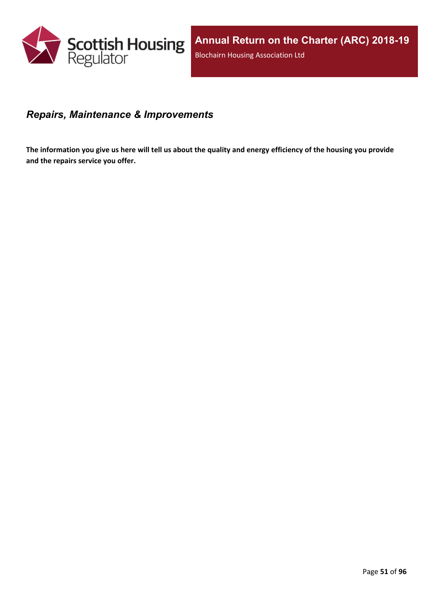

### *Repairs, Maintenance & Improvements*

The information you give us here will tell us about the quality and energy efficiency of the housing you provide **and the repairs service you offer.**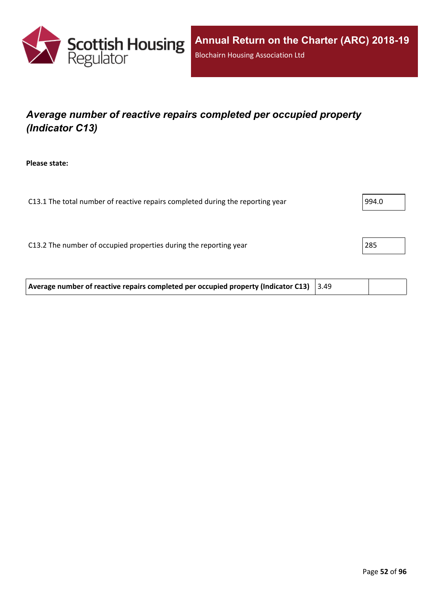

## *Average number of reactive repairs completed per occupied property (Indicator C13)*

**Please state:**

| C13.1 The total number of reactive repairs completed during the reporting year | 994.0 |
|--------------------------------------------------------------------------------|-------|
|                                                                                |       |
|                                                                                |       |
| C13.2 The number of occupied properties during the reporting year              | 285   |
|                                                                                |       |
|                                                                                |       |

**Average number of reactive repairs completed per occupied property (Indicator C13)** 3.49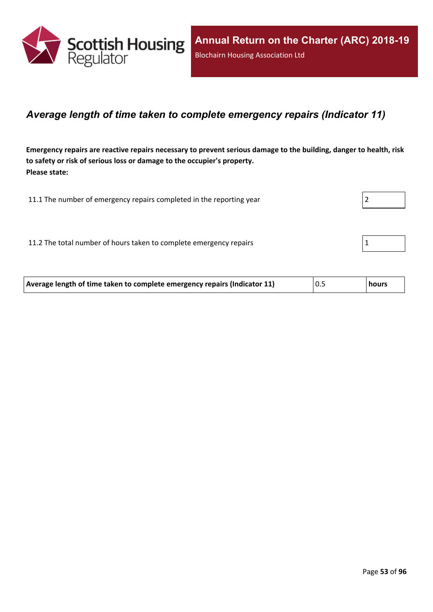

### *Average length of time taken to complete emergency repairs (Indicator 11)*

Emergency repairs are reactive repairs necessary to prevent serious damage to the building, danger to health, risk **to safety or risk of serious loss or damage to the occupier's property. Please state:**

| 11.1 The number of emergency repairs completed in the reporting year |  |
|----------------------------------------------------------------------|--|
|                                                                      |  |
| 11.2 The total number of hours taken to complete emergency repairs   |  |

| Average length of time taken to complete emergency repairs (Indicator 11) | 0.5 | hours |
|---------------------------------------------------------------------------|-----|-------|
|                                                                           |     |       |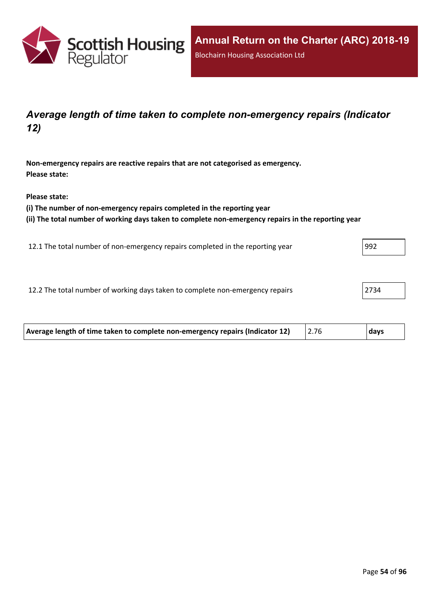

### *Average length of time taken to complete non-emergency repairs (Indicator 12)*

**Non-emergency repairs are reactive repairs that are not categorised as emergency. Please state:**

**Please state:**

**(i) The number of non-emergency repairs completed in the reporting year**

**(ii) The total number of working days taken to complete non-emergency repairs in the reporting year**

12.1 The total number of non-emergency repairs completed in the reporting year 992

12.2 The total number of working days taken to complete non-emergency repairs 2734

| Average length of time taken to complete non-emergency repairs (Indicator 12) | days |
|-------------------------------------------------------------------------------|------|
|                                                                               |      |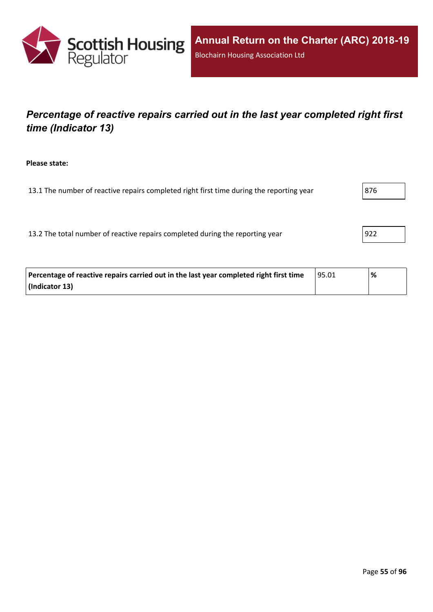

## *Percentage of reactive repairs carried out in the last year completed right first time (Indicator 13)*

**Please state:**

13.1 The number of reactive repairs completed right first time during the reporting year  $\vert$ 876

13.2 The total number of reactive repairs completed during the reporting year | 922

| Percentage of reactive repairs carried out in the last year completed right first time | 95.01 | % |
|----------------------------------------------------------------------------------------|-------|---|
| (Indicator 13)                                                                         |       |   |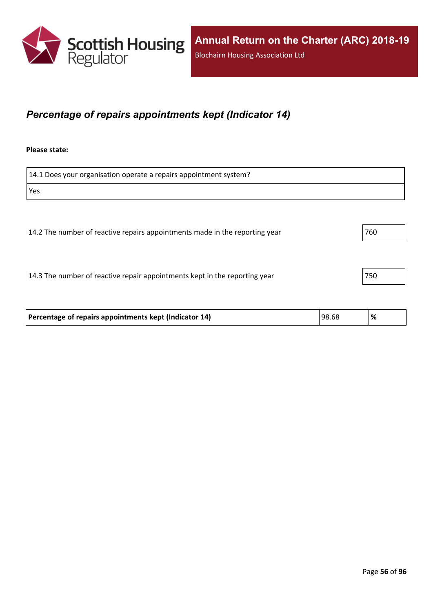

### *Percentage of repairs appointments kept (Indicator 14)*

#### **Please state:**

14.1 Does your organisation operate a repairs appointment system? Yes 14.2 The number of reactive repairs appointments made in the reporting year 760

14.3 The number of reactive repair appointments kept in the reporting year 750

| Percentage of repairs appointments kept (Indicator 14) | 98.68 | % |
|--------------------------------------------------------|-------|---|
|                                                        |       |   |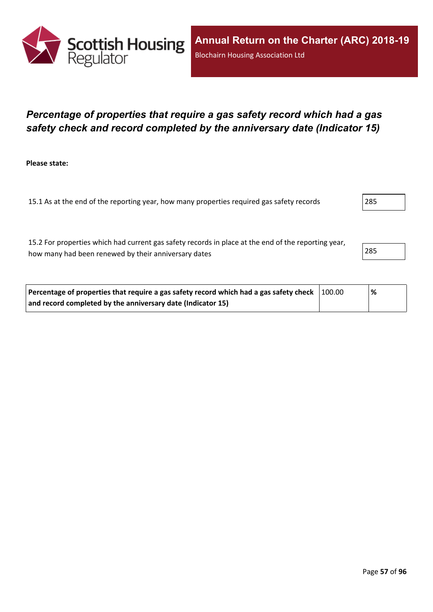

### *Percentage of properties that require a gas safety record which had a gas safety check and record completed by the anniversary date (Indicator 15)*

**Please state:**

15.1 As at the end of the reporting year, how many properties required gas safety records 285

15.2 For properties which had current gas safety records in place at the end of the reporting year, how many had been renewed by their anniversary dates 285

| Percentage of properties that require a gas safety record which had a gas safety check $\mid$ 100.00 | % |  |
|------------------------------------------------------------------------------------------------------|---|--|
| and record completed by the anniversary date (Indicator 15)                                          |   |  |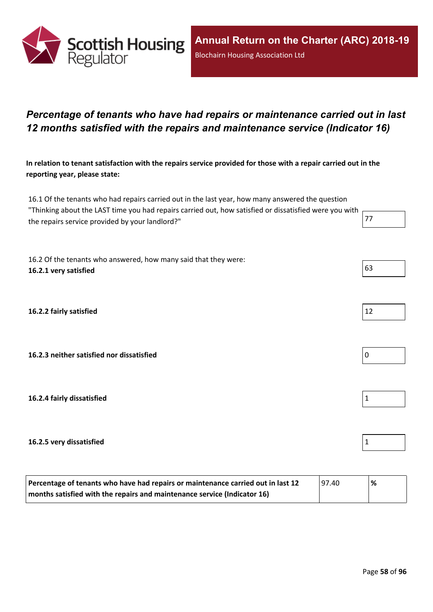

### *Percentage of tenants who have had repairs or maintenance carried out in last 12 months satisfied with the repairs and maintenance service (Indicator 16)*

In relation to tenant satisfaction with the repairs service provided for those with a repair carried out in the **reporting year, please state:**

16.1 Of the tenants who had repairs carried out in the last year, how many answered the question "Thinking about the LAST time you had repairs carried out, how satisfied or dissatisfied were you with the repairs service provided by your landlord?" The repairs service provided by your landlord?"

16.2 Of the tenants who answered, how many said that they were: **16.2.1 very satisfied** 63

**16.2.2 fairly satisfied** 

**16.2.3 neither satisfied nor dissatisfied** 0

**16.2.4 fairly dissatisfied** 1

#### **16.2.5 very dissatisfied** 1

| Percentage of tenants who have had repairs or maintenance carried out in last 12<br> 97.40 |  | % |
|--------------------------------------------------------------------------------------------|--|---|
| months satisfied with the repairs and maintenance service (Indicator 16)                   |  |   |

| 1<br>ຳ |  |  |  |
|--------|--|--|--|





| ℀<br>α |  |
|--------|--|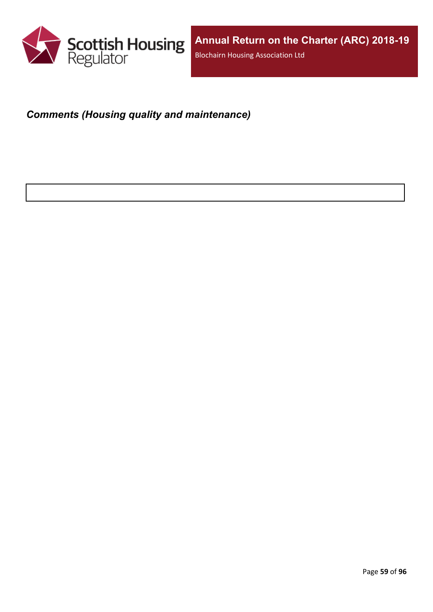

## *Comments (Housing quality and maintenance)*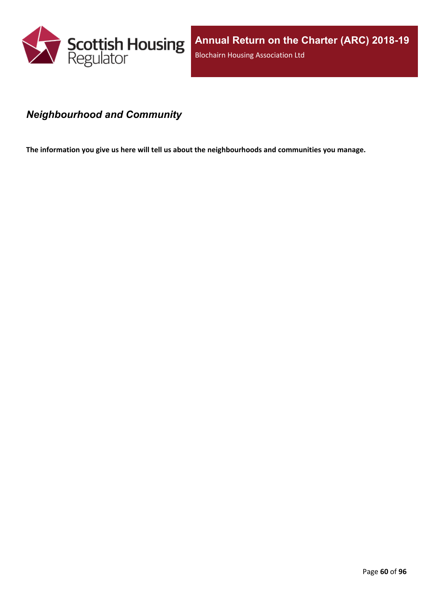

### *Neighbourhood and Community*

**The information you give us here will tell us about the neighbourhoods and communities you manage.**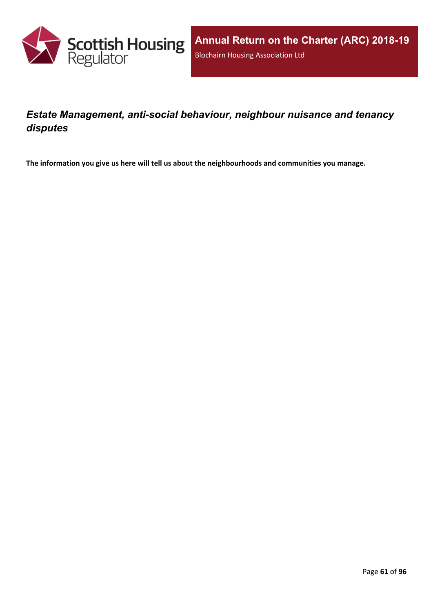

### *Estate Management, anti-social behaviour, neighbour nuisance and tenancy disputes*

**The information you give us here will tell us about the neighbourhoods and communities you manage.**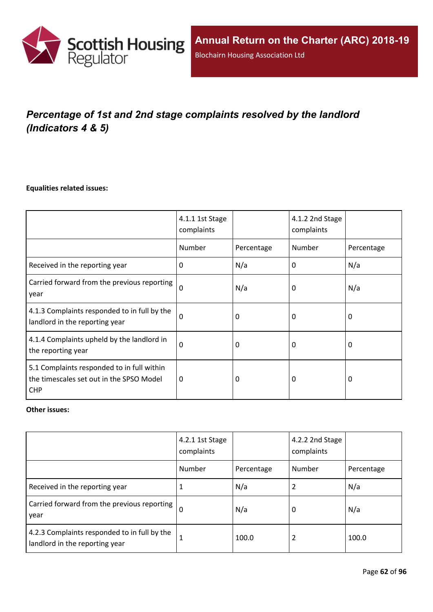

# *Percentage of 1st and 2nd stage complaints resolved by the landlord (Indicators 4 & 5)*

#### **Equalities related issues:**

|                                                                                                      | 4.1.1 1st Stage<br>complaints |            | 4.1.2 2nd Stage<br>complaints |            |
|------------------------------------------------------------------------------------------------------|-------------------------------|------------|-------------------------------|------------|
|                                                                                                      | Number                        | Percentage | Number                        | Percentage |
| Received in the reporting year                                                                       | $\Omega$                      | N/a        | 0                             | N/a        |
| Carried forward from the previous reporting<br>year                                                  | $\Omega$                      | N/a        | 0                             | N/a        |
| 4.1.3 Complaints responded to in full by the<br>landlord in the reporting year                       | $\Omega$                      | 0          | 0                             | 0          |
| 4.1.4 Complaints upheld by the landlord in<br>the reporting year                                     | 0                             | 0          | 0                             | 0          |
| 5.1 Complaints responded to in full within<br>the timescales set out in the SPSO Model<br><b>CHP</b> | $\Omega$                      | 0          | 0                             | $\Omega$   |

#### **Other issues:**

|                                                                                | 4.2.1 1st Stage<br>complaints |            | 4.2.2 2nd Stage<br>complaints |            |
|--------------------------------------------------------------------------------|-------------------------------|------------|-------------------------------|------------|
|                                                                                | Number                        | Percentage | Number                        | Percentage |
| Received in the reporting year                                                 | 1                             | N/a        |                               | N/a        |
| Carried forward from the previous reporting  <br>year                          | $\Omega$                      | N/a        | 0                             | N/a        |
| 4.2.3 Complaints responded to in full by the<br>landlord in the reporting year | $\mathbf{1}$                  | 100.0      | 2                             | 100.0      |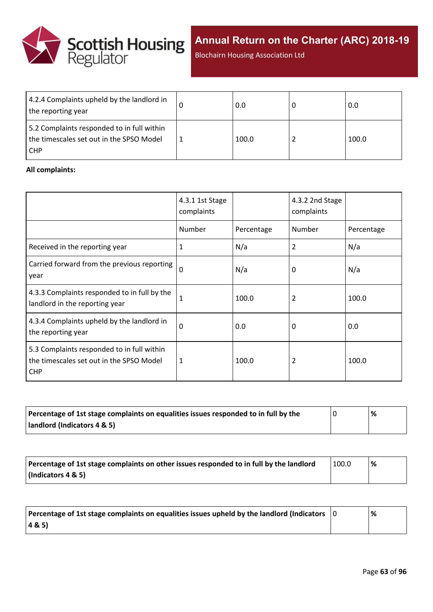

**Annual Return on the Charter (ARC) 2018-19**

Blochairn Housing Association Ltd

| 4.2.4 Complaints upheld by the landlord in<br>the reporting year                                     | 0.0   | 0.0   |
|------------------------------------------------------------------------------------------------------|-------|-------|
| 5.2 Complaints responded to in full within<br>the timescales set out in the SPSO Model<br><b>CHP</b> | 100.0 | 100.0 |

#### **All complaints:**

|                                                                                                      | 4.3.1 1st Stage<br>complaints |            | 4.3.2 2nd Stage<br>complaints |            |
|------------------------------------------------------------------------------------------------------|-------------------------------|------------|-------------------------------|------------|
|                                                                                                      | Number                        | Percentage | Number                        | Percentage |
| Received in the reporting year                                                                       | 1                             | N/a        | 2                             | N/a        |
| Carried forward from the previous reporting<br>year                                                  | $\Omega$                      | N/a        | 0                             | N/a        |
| 4.3.3 Complaints responded to in full by the<br>landlord in the reporting year                       | $\mathbf{1}$                  | 100.0      | 2                             | 100.0      |
| 4.3.4 Complaints upheld by the landlord in<br>the reporting year                                     | 0                             | 0.0        | 0                             | 0.0        |
| 5.3 Complaints responded to in full within<br>the timescales set out in the SPSO Model<br><b>CHP</b> | 1                             | 100.0      | 2                             | 100.0      |

| Percentage of 1st stage complaints on equalities issues responded to in full by the | % |
|-------------------------------------------------------------------------------------|---|
| landlord (Indicators 4 & 5)                                                         |   |

| Percentage of 1st stage complaints on other issues responded to in full by the landlord | 100.0 | % |
|-----------------------------------------------------------------------------------------|-------|---|
| (Indicators 4 & 5)                                                                      |       |   |

| Percentage of 1st stage complaints on equalities issues upheld by the landlord (Indicators $\vert$ 0 | % |
|------------------------------------------------------------------------------------------------------|---|
| (48.5)                                                                                               |   |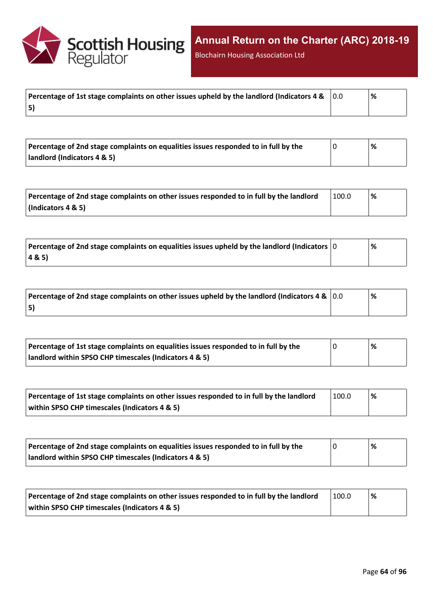

Blochairn Housing Association Ltd

|    | % |
|----|---|
| 5) |   |

| Percentage of 2nd stage complaints on equalities issues responded to in full by the | % |
|-------------------------------------------------------------------------------------|---|
| landlord (Indicators 4 & 5)                                                         |   |

| Percentage of 2nd stage complaints on other issues responded to in full by the landlord | 100.0 | '% |
|-----------------------------------------------------------------------------------------|-------|----|
| $\vert$ (Indicators 4 & 5)                                                              |       |    |

| Percentage of 2nd stage complaints on equalities issues upheld by the landlord (Indicators $ 0 $ | % |
|--------------------------------------------------------------------------------------------------|---|
| 4&5)                                                                                             |   |

| Percentage of 2nd stage complaints on other issues upheld by the landlord (Indicators 4 & $\vert$ 0.0 | '% |
|-------------------------------------------------------------------------------------------------------|----|
| 5)                                                                                                    |    |

| Percentage of 1st stage complaints on equalities issues responded to in full by the | % |
|-------------------------------------------------------------------------------------|---|
| landlord within SPSO CHP timescales (Indicators 4 & 5)                              |   |

| Percentage of 1st stage complaints on other issues responded to in full by the landlord | 100.0 | % |
|-----------------------------------------------------------------------------------------|-------|---|
| within SPSO CHP timescales (Indicators 4 & 5)                                           |       |   |

| Percentage of 2nd stage complaints on equalities issues responded to in full by the | '% |
|-------------------------------------------------------------------------------------|----|
| landlord within SPSO CHP timescales (Indicators 4 & 5)                              |    |

| Percentage of 2nd stage complaints on other issues responded to in full by the landlord | 100.0 | % |
|-----------------------------------------------------------------------------------------|-------|---|
| within SPSO CHP timescales (Indicators 4 & 5)                                           |       |   |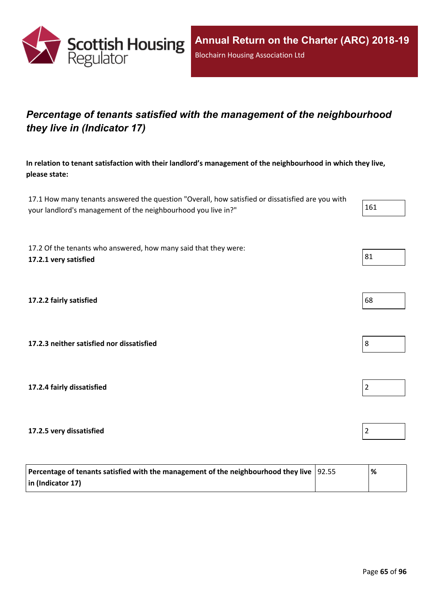

## *Percentage of tenants satisfied with the management of the neighbourhood they live in (Indicator 17)*

**In relation to tenant satisfaction with their landlord's management of the neighbourhood in which they live, please state:**

17.1 How many tenants answered the question "Overall, how satisfied or dissatisfied are you with your landlord's management of the neighbourhood you live in?" 161

17.2 Of the tenants who answered, how many said that they were: **17.2.1 very satisfied** 81

**17.2.2 fairly satisfied** 68

**17.2.3 neither satisfied nor dissatisfied** 8

**17.2.4 fairly dissatisfied** 2

**17.2.5 very dissatisfied** 2

| Percentage of tenants satisfied with the management of the neighbourhood they live $ 92.55 $ | '% |
|----------------------------------------------------------------------------------------------|----|
| $\vert$ in (Indicator 17)                                                                    |    |



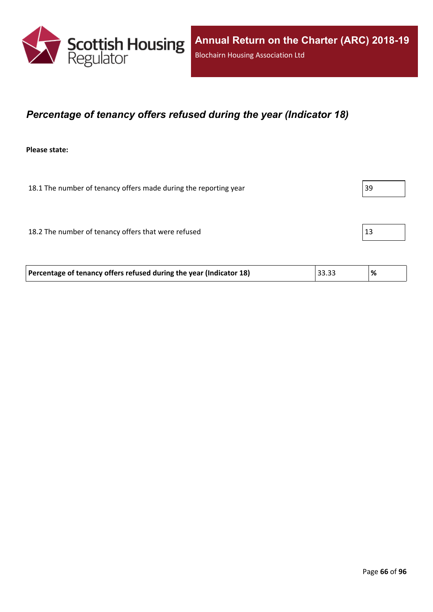

### *Percentage of tenancy offers refused during the year (Indicator 18)*

**Please state:**

18.1 The number of tenancy offers made during the reporting year 39 18.2 The number of tenancy offers that were refused 13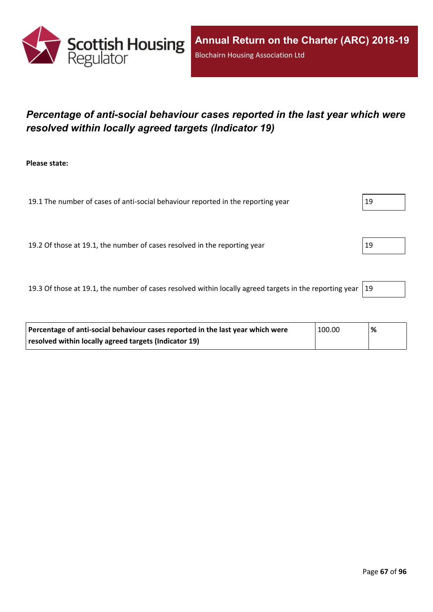

## *Percentage of anti-social behaviour cases reported in the last year which were resolved within locally agreed targets (Indicator 19)*

**Please state:**

19.1 The number of cases of anti-social behaviour reported in the reporting year 19

19.2 Of those at 19.1, the number of cases resolved in the reporting year 19

19.3 Of those at 19.1, the number of cases resolved within locally agreed targets in the reporting year  $|19$ 

| Percentage of anti-social behaviour cases reported in the last year which were | 100.00 | % |
|--------------------------------------------------------------------------------|--------|---|
| resolved within locally agreed targets (Indicator 19)                          |        |   |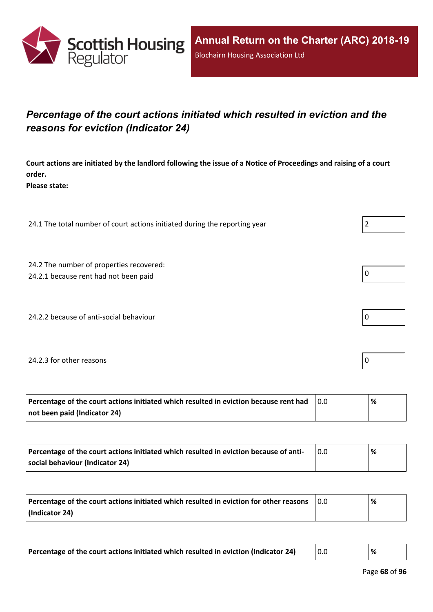

## *Percentage of the court actions initiated which resulted in eviction and the reasons for eviction (Indicator 24)*

Court actions are initiated by the landlord following the issue of a Notice of Proceedings and raising of a court **order.**

**Please state:**

24.1 The total number of court actions initiated during the reporting year  $\vert$  2

24.2 The number of properties recovered:

24.2.1 because rent had not been paid  $\vert 0 \vert$ 

24.2.2 because of anti-social behaviour  $\vert 0 \rangle$ 

#### 24.2.3 for other reasons  $\vert$  0

| Percentage of the court actions initiated which resulted in eviction because rent had | ℅ |
|---------------------------------------------------------------------------------------|---|
| not been paid (Indicator 24)                                                          |   |

| Percentage of the court actions initiated which resulted in eviction because of anti- | % |
|---------------------------------------------------------------------------------------|---|
| social behaviour (Indicator 24)                                                       |   |

| Percentage of the court actions initiated which resulted in eviction for other reasons | 0.0 | % |
|----------------------------------------------------------------------------------------|-----|---|
| (Indicator 24)                                                                         |     |   |

| Percentage of the court actions initiated which resulted in eviction (Indicator 24) |  |  |
|-------------------------------------------------------------------------------------|--|--|
|-------------------------------------------------------------------------------------|--|--|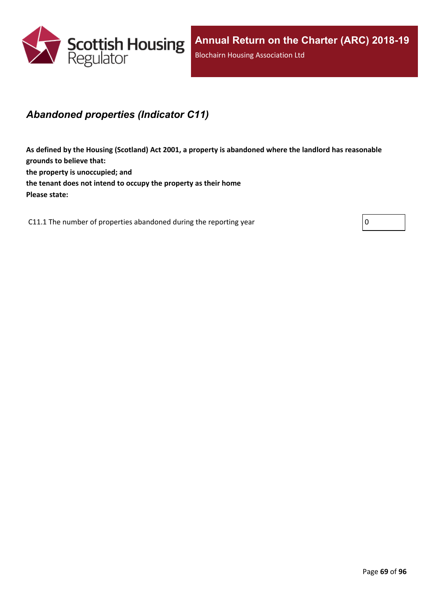

### *Abandoned properties (Indicator C11)*

**As defined by the Housing (Scotland) Act 2001, a property is abandoned where the landlord has reasonable grounds to believe that: the property is unoccupied; and the tenant does not intend to occupy the property as their home Please state:**

C11.1 The number of properties abandoned during the reporting year  $\vert 0 \vert$ 

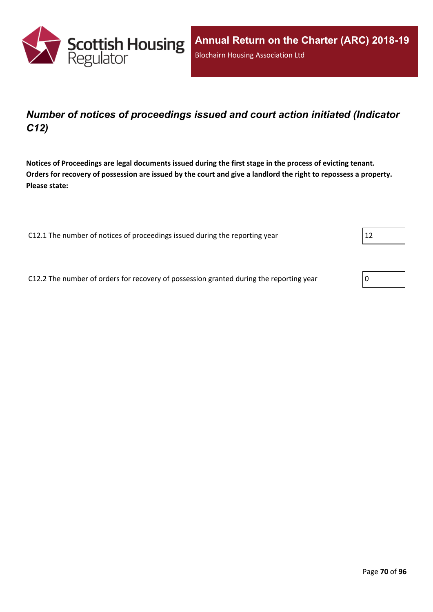

### *Number of notices of proceedings issued and court action initiated (Indicator C12)*

Notices of Proceedings are legal documents issued during the first stage in the process of evicting tenant. Orders for recovery of possession are issued by the court and give a landlord the right to repossess a property. **Please state:**

C12.1 The number of notices of proceedings issued during the reporting year  $12$ 

C12.2 The number of orders for recovery of possession granted during the reporting year  $\vert$  0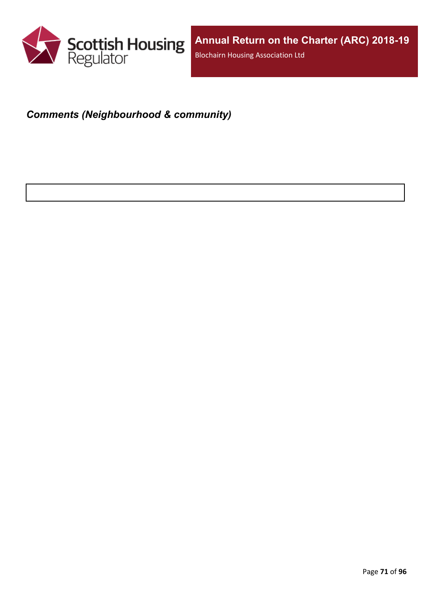

## *Comments (Neighbourhood & community)*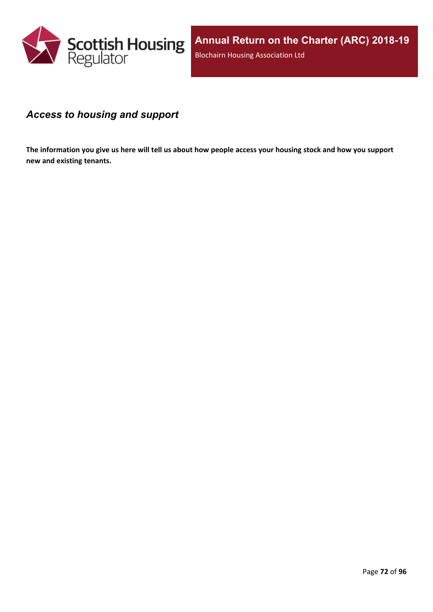

### *Access to housing and support*

The information you give us here will tell us about how people access your housing stock and how you support **new and existing tenants.**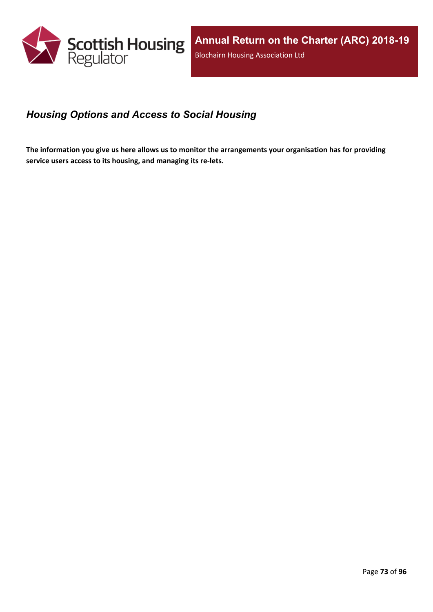

## *Housing Options and Access to Social Housing*

The information you give us here allows us to monitor the arrangements your organisation has for providing **service users access to its housing, and managing its re-lets.**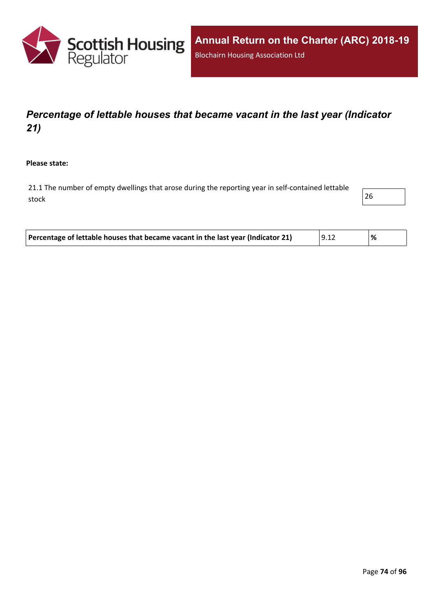

# *Percentage of lettable houses that became vacant in the last year (Indicator 21)*

**Please state:**

21.1 The number of empty dwellings that arose during the reporting year in self-contained lettable stock and the contract of  $\sim$  26

| Percentage of lettable houses that became vacant in the last year (Indicator 21) | 9.12 |  |
|----------------------------------------------------------------------------------|------|--|
|----------------------------------------------------------------------------------|------|--|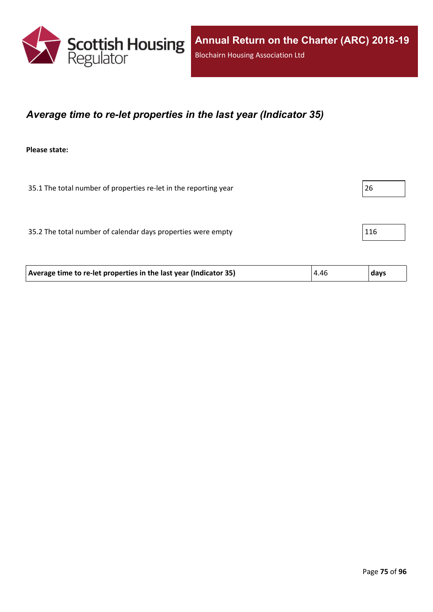

### *Average time to re-let properties in the last year (Indicator 35)*

**Please state:**

35.1 The total number of properties re-let in the reporting year 26

35.2 The total number of calendar days properties were empty  $116$ 

| 4.46<br>Average time to re-let properties in the last year (Indicator 35)<br>  days |
|-------------------------------------------------------------------------------------|
|-------------------------------------------------------------------------------------|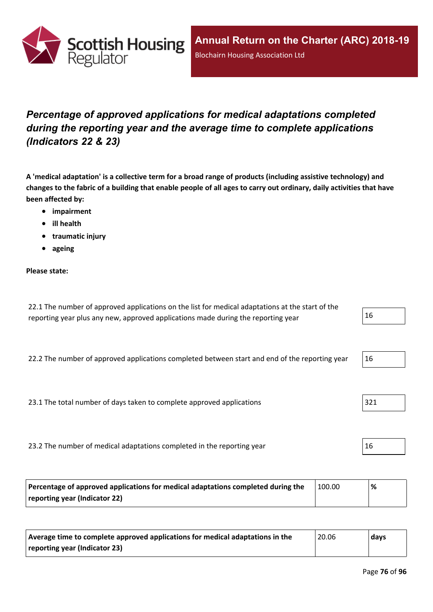

# *Percentage of approved applications for medical adaptations completed during the reporting year and the average time to complete applications (Indicators 22 & 23)*

A 'medical adaptation' is a collective term for a broad range of products (including assistive technology) and changes to the fabric of a building that enable people of all ages to carry out ordinary, daily activities that have **been affected by:**

- **impairment**
- **ill health**
- **traumatic injury**
- **ageing**

### **Please state:**

| 22.1 The number of approved applications on the list for medical adaptations at the start of the |    |
|--------------------------------------------------------------------------------------------------|----|
| reporting year plus any new, approved applications made during the reporting year                | 16 |

22.2 The number of approved applications completed between start and end of the reporting year  $16$ 

23.1 The total number of days taken to complete approved applications  $|321|$ 

23.2 The number of medical adaptations completed in the reporting year 16

| Percentage of approved applications for medical adaptations completed during the | 100.00 | % |
|----------------------------------------------------------------------------------|--------|---|
| reporting year (Indicator 22)                                                    |        |   |

| Average time to complete approved applications for medical adaptations in the | $^{\prime}$ 20.06 | days |
|-------------------------------------------------------------------------------|-------------------|------|
| reporting year (Indicator 23)                                                 |                   |      |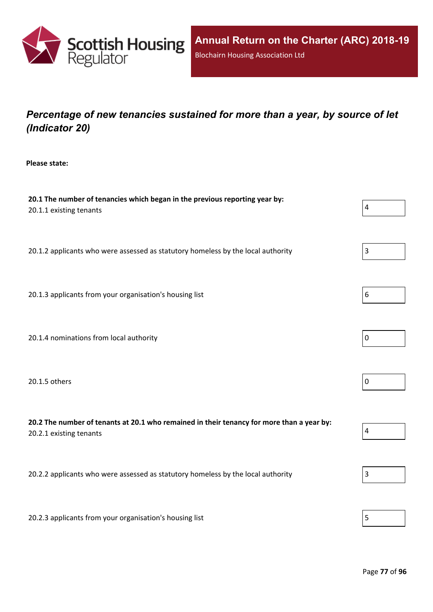

# *Percentage of new tenancies sustained for more than a year, by source of let (Indicator 20)*

**Please state:**

| 20.1 The number of tenancies which began in the previous reporting year by:<br>20.1.1 existing tenants               | $\overline{4}$ |
|----------------------------------------------------------------------------------------------------------------------|----------------|
| 20.1.2 applicants who were assessed as statutory homeless by the local authority                                     | 3              |
| 20.1.3 applicants from your organisation's housing list                                                              | 6              |
| 20.1.4 nominations from local authority                                                                              | 0              |
| 20.1.5 others                                                                                                        | $\pmb{0}$      |
| 20.2 The number of tenants at 20.1 who remained in their tenancy for more than a year by:<br>20.2.1 existing tenants | $\pmb{4}$      |
| 20.2.2 applicants who were assessed as statutory homeless by the local authority                                     | 3              |
| 20.2.3 applicants from your organisation's housing list                                                              | 5              |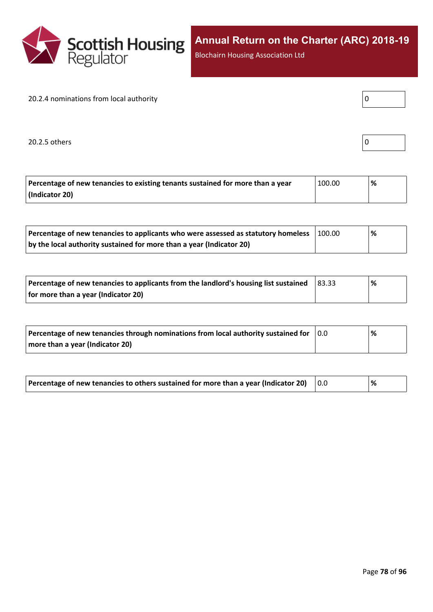

Blochairn Housing Association Ltd

### 20.2.4 nominations from local authority

20.2.5 others

|--|

| Percentage of new tenancies to existing tenants sustained for more than a year | 100.00 | % |
|--------------------------------------------------------------------------------|--------|---|
| (Indicator 20)                                                                 |        |   |

| Percentage of new tenancies to applicants who were assessed as statutory homeless | 100.00 | $\%$ |  |
|-----------------------------------------------------------------------------------|--------|------|--|
| by the local authority sustained for more than a year (Indicator 20)              |        |      |  |

| Percentage of new tenancies to applicants from the landlord's housing list sustained | $ 83.33\rangle$ | % |
|--------------------------------------------------------------------------------------|-----------------|---|
| for more than a year (Indicator 20)                                                  |                 |   |

| Percentage of new tenancies through nominations from local authority sustained for | $\overline{0.0}$ | % |
|------------------------------------------------------------------------------------|------------------|---|
| more than a year (Indicator 20)                                                    |                  |   |

| Percentage of new tenancies to others sustained for more than a year (Indicator 20) |  | % |
|-------------------------------------------------------------------------------------|--|---|
|-------------------------------------------------------------------------------------|--|---|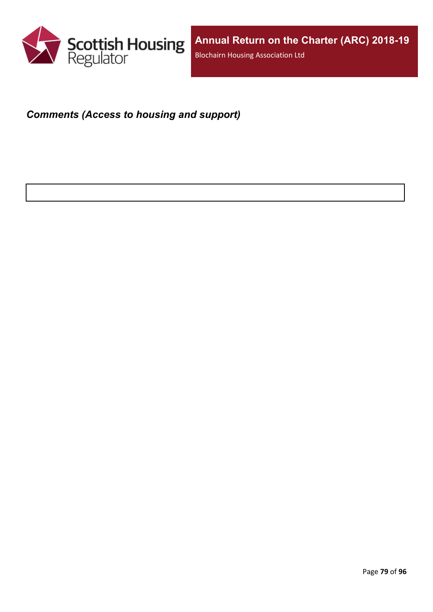

### *Comments (Access to housing and support)*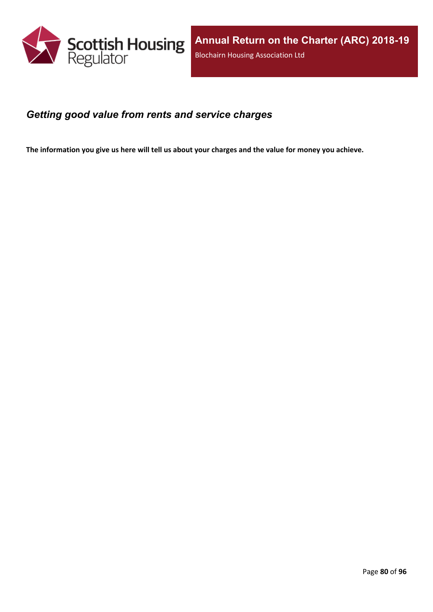

### *Getting good value from rents and service charges*

The information you give us here will tell us about your charges and the value for money you achieve.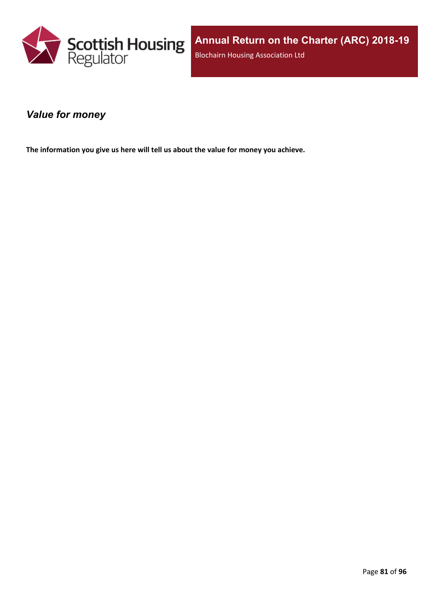

### *Value for money*

**The information you give us here will tell us about the value for money you achieve.**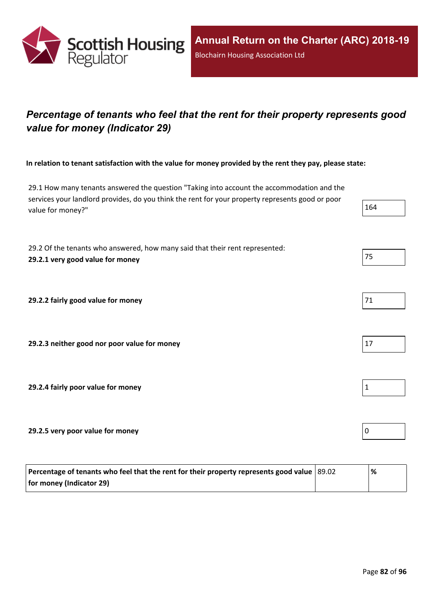

# *Percentage of tenants who feel that the rent for their property represents good value for money (Indicator 29)*

In relation to tenant satisfaction with the value for money provided by the rent they pay, please state:

29.1 How many tenants answered the question "Taking into account the accommodation and the services your landlord provides, do you think the rent for your property represents good or poor value for money?"

29.2 Of the tenants who answered, how many said that their rent represented: **29.2.1 very good value for money** 75

**29.2.2 fairly good value for money** 

**29.2.3 neither good nor poor value for money** 17

**29.2.4 fairly poor value for money** 1

**29.2.5 very poor value for money** 0

| Percentage of tenants who feel that the rent for their property represents good value   89.02 | '% |
|-----------------------------------------------------------------------------------------------|----|
| for money (Indicator 29)                                                                      |    |

| 2<br>'L<br>۰. |  |
|---------------|--|
|               |  |

| 71 |  |  |
|----|--|--|



| J |  |  |
|---|--|--|
|   |  |  |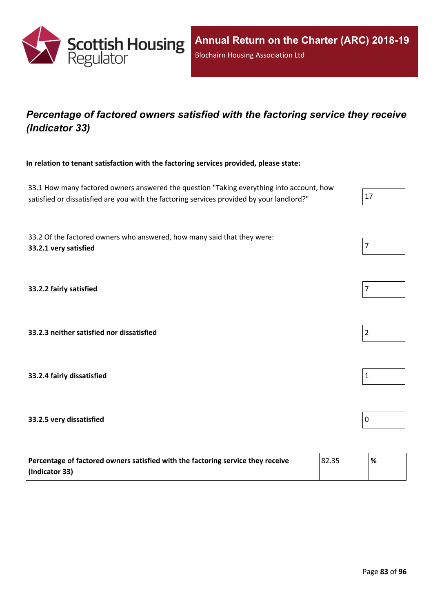

# *Percentage of factored owners satisfied with the factoring service they receive (Indicator 33)*

**In relation to tenant satisfaction with the factoring services provided, please state:**

33.1 How many factored owners answered the question "Taking everything into account, how satisfied or dissatisfied are you with the factoring services provided by your landlord?"

33.2 Of the factored owners who answered, how many said that they were: **33.2.1 very satisfied** 7

**33.2.2 fairly satisfied** 7

**33.2.3 neither satisfied nor dissatisfied** 2

**33.2.4 fairly dissatisfied** 1

#### **33.2.5 very dissatisfied** 0

| Percentage of factored owners satisfied with the factoring service they receive | 82.35 | % |
|---------------------------------------------------------------------------------|-------|---|
| (Indicator 33)                                                                  |       |   |



| 7 |  |  |  |
|---|--|--|--|
|   |  |  |  |



|--|

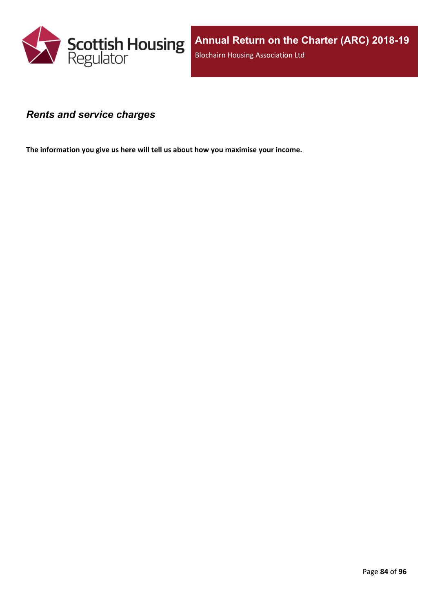

### *Rents and service charges*

**The information you give us here will tell us about how you maximise your income.**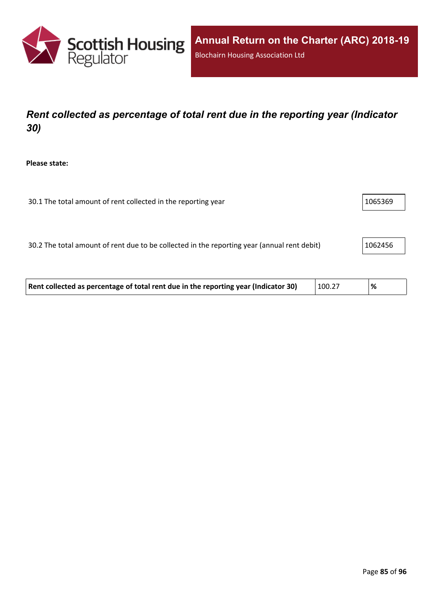

# *Rent collected as percentage of total rent due in the reporting year (Indicator 30)*

**Please state:**

| 1065369<br>30.1 The total amount of rent collected in the reporting year |
|--------------------------------------------------------------------------|
|--------------------------------------------------------------------------|

30.2 The total amount of rent due to be collected in the reporting year (annual rent debit) 1062456

| Rent collected as percentage of total rent due in the reporting year (Indicator 30) | 100.27 | '% |  |
|-------------------------------------------------------------------------------------|--------|----|--|
|-------------------------------------------------------------------------------------|--------|----|--|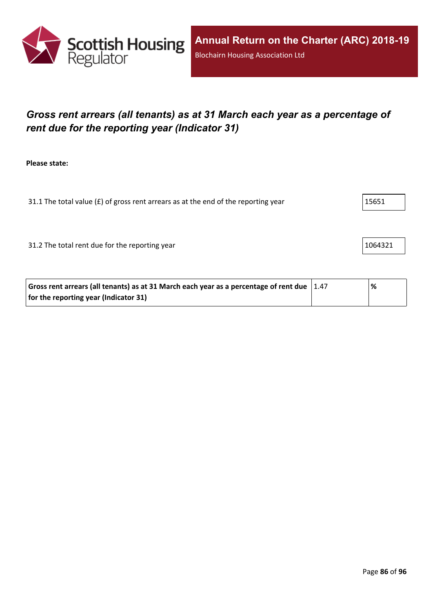

# *Gross rent arrears (all tenants) as at 31 March each year as a percentage of rent due for the reporting year (Indicator 31)*

**Please state:**

31.1 The total value ( $E$ ) of gross rent arrears as at the end of the reporting year  $15651$ 

31.2 The total rent due for the reporting year 1064321

| Gross rent arrears (all tenants) as at 31 March each year as a percentage of rent due $\vert$ 1.47 | % |  |
|----------------------------------------------------------------------------------------------------|---|--|
| for the reporting year (Indicator 31)                                                              |   |  |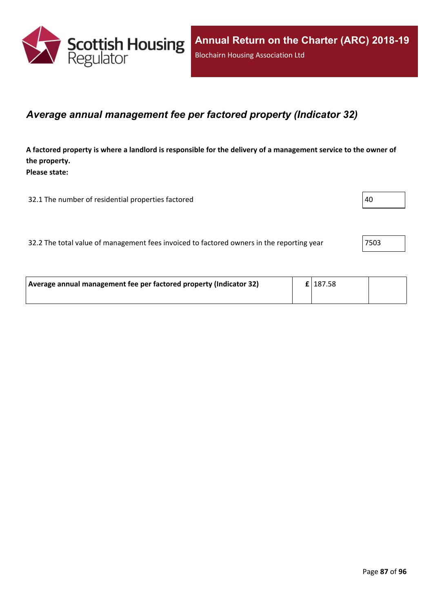

### *Average annual management fee per factored property (Indicator 32)*

A factored property is where a landlord is responsible for the delivery of a management service to the owner of **the property. Please state:**

32.1 The number of residential properties factored  $|40 \rangle$ 

| 7503  <br>32.2 The total value of management fees invoiced to factored owners in the reporting year |
|-----------------------------------------------------------------------------------------------------|
|-----------------------------------------------------------------------------------------------------|

| Average annual management fee per factored property (Indicator 32) |  | $\mathbf{E}$   187.58 |  |
|--------------------------------------------------------------------|--|-----------------------|--|
|                                                                    |  |                       |  |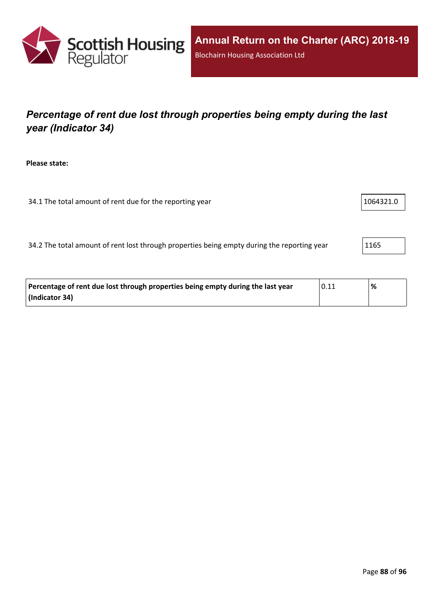

# *Percentage of rent due lost through properties being empty during the last year (Indicator 34)*

**Please state:**

34.1 The total amount of rent due for the reporting year 1064321.0

34.2 The total amount of rent lost through properties being empty during the reporting year 1165

| Percentage of rent due lost through properties being empty during the last year | $^{\shortmid}$ 0.11 | % |
|---------------------------------------------------------------------------------|---------------------|---|
| (Indicator 34)                                                                  |                     |   |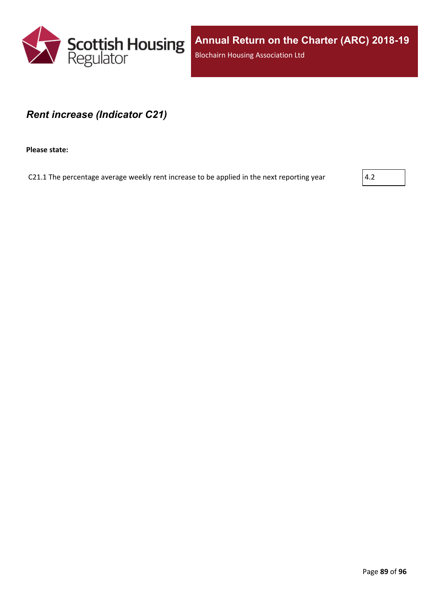

### *Rent increase (Indicator C21)*

**Please state:**

C21.1 The percentage average weekly rent increase to be applied in the next reporting year  $\vert$  4.2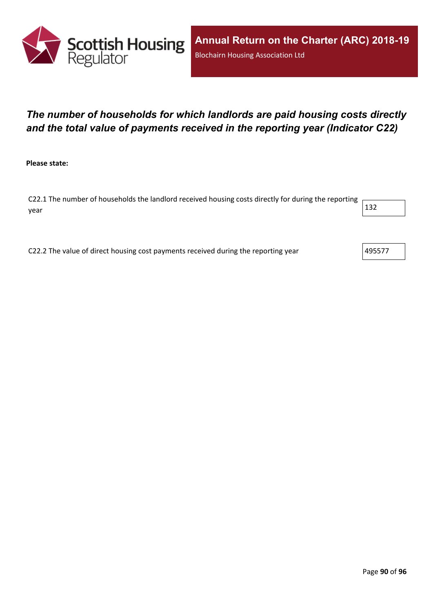

# *The number of households for which landlords are paid housing costs directly and the total value of payments received in the reporting year (Indicator C22)*

**Please state:**

C22.1 The number of households the landlord received housing costs directly for during the reporting year  $\vert$  132  $\vert$ 

C22.2 The value of direct housing cost payments received during the reporting year  $\vert$ 495577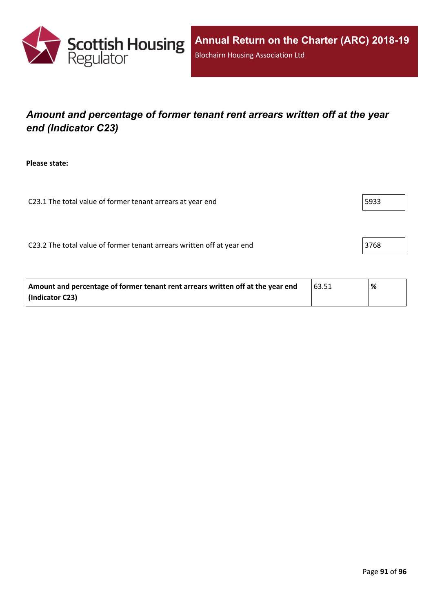

## *Amount and percentage of former tenant rent arrears written off at the year end (Indicator C23)*

**Please state:**

C23.1 The total value of former tenant arrears at year end  $\vert$  5933

C23.2 The total value of former tenant arrears written off at year end 3768

| Amount and percentage of former tenant rent arrears written off at the year end | 163.51 | % |
|---------------------------------------------------------------------------------|--------|---|
| (Indicator C23)                                                                 |        |   |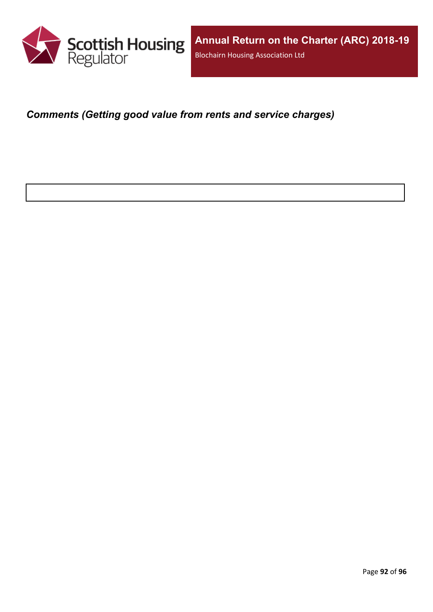

*Comments (Getting good value from rents and service charges)*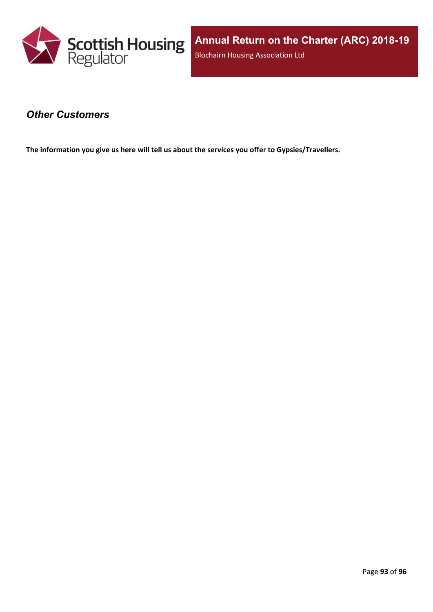

### *Other Customers*

**The information you give us here will tell us about the services you offer to Gypsies/Travellers.**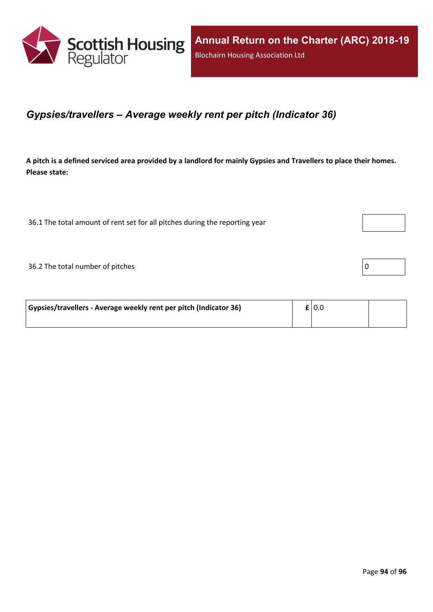

### *Gypsies/travellers – Average weekly rent per pitch (Indicator 36)*

A pitch is a defined serviced area provided by a landlord for mainly Gypsies and Travellers to place their homes. **Please state:**

36.1 The total amount of rent set for all pitches during the reporting year

 $36.2$  The total number of pitches  $\boxed{0}$ 

| Gypsies/travellers - Average weekly rent per pitch (Indicator 36) | £ 0.0 |  |
|-------------------------------------------------------------------|-------|--|
|                                                                   |       |  |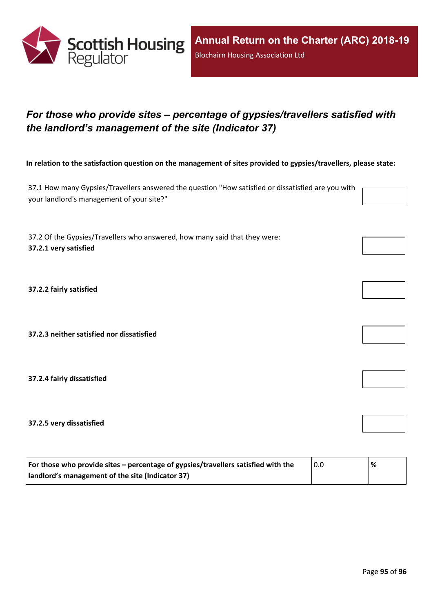

# *For those who provide sites – percentage of gypsies/travellers satisfied with the landlord's management of the site (Indicator 37)*

In relation to the satisfaction question on the management of sites provided to gypsies/travellers, please state:

37.1 How many Gypsies/Travellers answered the question "How satisfied or dissatisfied are you with your landlord's management of your site?"

37.2 Of the Gypsies/Travellers who answered, how many said that they were: **37.2.1 very satisfied**

**37.2.2 fairly satisfied**

**37.2.3 neither satisfied nor dissatisfied**

**37.2.4 fairly dissatisfied**

**37.2.5 very dissatisfied**

| For those who provide sites – percentage of gypsies/travellers satisfied with the | 0.0 | % |
|-----------------------------------------------------------------------------------|-----|---|
| I landlord's management of the site (Indicator 37)                                |     |   |